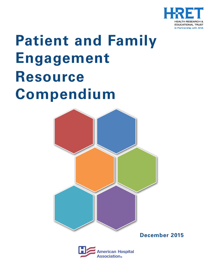

# **Patient and Family Engagement Resource Compendium**



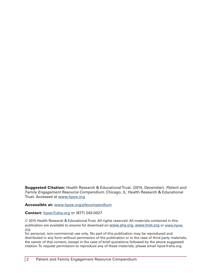Suggested Citation: Health Research & Educational Trust. (2015, December). *Patient and Family Engagement Resource Compendium*. Chicago, IL: Health Research & Educational Trust. Accessed at<www.hpoe.org>

Accessible at: <www.hpoe.org/pfecompendium>

#### **Contact:** [hpoe@aha.org](mailto:hpoe@aha.org) or (877) 243-0027

© 2015 Health Research & Educational Trust. All rights reserved. All materials contained in this publication are available to anyone for download on [www.aha.org,](www.aha.org)<www.hret.org>or [www.hpoe.](www.hpoe.org) [org](www.hpoe.org)

for personal, non-commercial use only. No part of this publication may be reproduced and distributed in any form without permission of the publication or in the case of third party materials, the owner of that content, except in the case of brief quotations followed by the above suggested citation. To request permission to reproduce any of these materials, please email [hpoe@aha.org](mailto:hpoe@aha.org).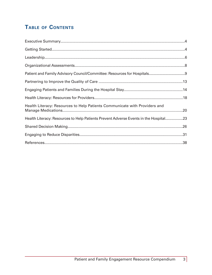## TABLE OF CONTENTS

| Health Literacy: Resources to Help Patients Communicate with Providers and           |  |
|--------------------------------------------------------------------------------------|--|
| Health Literacy: Resources to Help Patients Prevent Adverse Events in the Hospital23 |  |
|                                                                                      |  |
|                                                                                      |  |
|                                                                                      |  |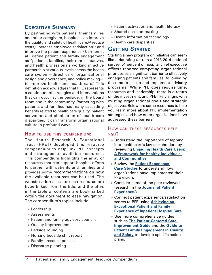## <span id="page-3-0"></span>**Executive Summary**

By partnering with patients, their families and other caregivers, hospitals can improve the quality and safety of health care, $^{1,2}$  reduce costs,<sup>3</sup> increase employee satisfaction<sup>4,5</sup> and improve the patient experience.<sup>6</sup> Carmen et al.<sup>7</sup> define patient and family engagement as "patients, families, their representatives, and health professionals working in active partnership at various levels across the health care system—direct care, organizational design and governance, and policy making to improve health and health care." This definition acknowledges that PFE represents a continuum of strategies and interventions that can occur at the bedside, in the board room and in the community. Partnering with patients and families has many cascading benefits related to health care quality, patient activation and elimination of health care disparities. It can transform organizational culture in profound ways.

#### **How to use this compendium:**

The Health Research & Educational Trust (HRET) developed this resource compendium to help link PFE concepts and strategies to available resources. This compendium highlights the array of resources that can support hospital efforts to partner with patients and families and provides some recommendations on how the available resources can be used. The website addresses for each resource are hyperlinked from the title, and the titles in the table of contents are bookmarked within the document to ease navigation. The compendium's topics include:

- » Leadership
- » Assessments
- » Patient and family advisory councils
- » Quality improvement
- » Bedside rounding
- » Nursing bedside shift report
- » Family presence policies
- » Discharge planning
- » Patient activation and health literacy
- » Shared decision-making
- » Health information technology
- » Health care disparities

## **Getting Started**

Starting a new program or initiative can seem like a daunting task. In a 2013-2014 national survey, 51 percent of hospital chief executive officers reported competing organizational priorities as a significant barrier to effectively engaging patients and families, followed by the time to set up and implement advisory programs.<sup>8</sup> While PFE does require time, resources and leadership, there is a return on the investment, and PFE likely aligns with existing organizational goals and strategic objectives. Below are some resources to help you learn more about PFE implementation strategies and how other organizations have addressed these barriers.

- » Understand the importance of tapping into health care's key stakeholders by reviewing **[Engaging Health Care Users:](http://www.aha.org/research/cor/engaging/index.shtml)  [A Framework for Healthy Individuals](http://www.aha.org/research/cor/engaging/index.shtml)  [and Communities](http://www.aha.org/research/cor/engaging/index.shtml)**.
- » Review the **[Patient Experience](http://www.theberylinstitute.org/?page=CASE)  [Case Studies](http://www.theberylinstitute.org/?page=CASE)** to understand how organizations have implemented their PFE vision.
- » Consider some of the peer-reviewed research in the **[Journal of Patient](http://www.patient-experience.org/Resources/Journal.aspx)  [Experience®.](http://www.patient-experience.org/Resources/Journal.aspx)**
- » Connect patient experience/satisfaction scores to PFE using **[Achieving an](http://www.ihi.org/resources/Pages/IHIWhitePapers/AchievingExceptionalPatientFamilyExperienceInpatientHospitalCareWhitePaper.aspx)  [Exceptional Patient and Family](http://www.ihi.org/resources/Pages/IHIWhitePapers/AchievingExceptionalPatientFamilyExperienceInpatientHospitalCareWhitePaper.aspx)  [Experience of Inpatient Hospital Care.](http://www.ihi.org/resources/Pages/IHIWhitePapers/AchievingExceptionalPatientFamilyExperienceInpatientHospitalCareWhitePaper.aspx)**
- » Use more comprehensive guides such as **[The Patient-Centered Care](http://www.patient-centeredcare.org/)  [Improvement Guide](http://www.patient-centeredcare.org/)** and the **[Guide to](http://www.ahrq.gov/professionals/systems/hospital/engagingfamilies/guide.html)  [Patient Family Engagement in Quality](http://www.ahrq.gov/professionals/systems/hospital/engagingfamilies/guide.html)  [and Safety](http://www.ahrq.gov/professionals/systems/hospital/engagingfamilies/guide.html)** to develop specific action plans.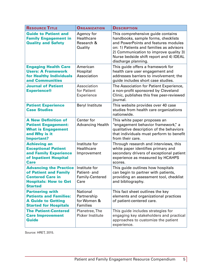| <b>RESOURCE TITLE</b>                                                                                                               | <b>ORGANIZATION</b>                                       | <b>DESCRIPTION</b>                                                                                                                                                                                                                                                       |
|-------------------------------------------------------------------------------------------------------------------------------------|-----------------------------------------------------------|--------------------------------------------------------------------------------------------------------------------------------------------------------------------------------------------------------------------------------------------------------------------------|
| <b>Guide to Patient and</b><br><b>Family Engagement in</b><br><b>Quality and Safety</b>                                             | Agency for<br>Healthcare<br>Research &<br>Quality         | This comprehensive guide contains<br>handbooks, sample forms, checklists<br>and PowerPoints and features modules<br>on: 1) Patients and families as advisors<br>2) Communication to improve quality 3)<br>Nurse bedside shift report and 4) IDEAL<br>discharge planning. |
| <b>Engaging Health Care</b><br><b>Users: A Framework</b><br>for Healthy Individuals<br>and Communities                              | American<br>Hospital<br>Association                       | This guide offers a framework for<br>health care user engagement and<br>addresses barriers to involvement; the<br>guide includes short case studies.                                                                                                                     |
| <b>Journal of Patient</b><br><b>Experience®</b>                                                                                     | Association<br>for Patient<br>Experience                  | The Association for Patient Experience,<br>a non-profit sponsored by Cleveland<br>Clinic, publishes this free peer-reviewed<br>journal.                                                                                                                                  |
| <b>Patient Experience</b><br><b>Case Studies</b>                                                                                    | <b>Beryl Institute</b>                                    | This website provides over 40 case<br>studies from health care organizations<br>nationwide.                                                                                                                                                                              |
| <b>A New Definition of</b><br><b>Patient Engagement:</b><br><b>What is Engagement</b><br>and Why is it<br><b>Important?</b>         | Center for<br><b>Advancing Health</b>                     | This white paper proposes an<br>"engagement behavior framework," a<br>qualitative description of the behaviors<br>that individuals must perform to benefit<br>from their care.                                                                                           |
| <b>Achieving an</b><br><b>Exceptional Patient</b><br>and Family Experience<br>of Inpatient Hospital<br><b>Care</b>                  | Institute for<br>Healthcare<br>Improvement                | Through research and interviews, this<br>white paper identifies primary and<br>secondary drivers of exceptional patient<br>experience as measured by HCAHPS<br>scores.                                                                                                   |
| <b>Advancing the Practice</b><br>of Patient and Family<br><b>Centered Care in</b><br><b>Hospitals: How to Get</b><br><b>Started</b> | Institute for<br>Patient- and<br>Family-Centered<br>Care  | This guide outlines how hospitals<br>can begin to partner with patients,<br>providing an assessment tool, checklist<br>and bibliography.                                                                                                                                 |
| <b>Partnering with</b><br><b>Patients and Families:</b><br><b>A Guide to Getting</b><br><b>Started for Hospitals</b>                | <b>National</b><br>Partnership<br>for Women &<br>Families | This fact sheet outlines the key<br>elements and organizational practices<br>of patient-centered care.                                                                                                                                                                   |
| <b>The Patient-Centered</b><br><b>Care Improvement</b><br><b>Guide</b>                                                              | Planetree, The<br>Picker Institute                        | This guide includes strategies for<br>engaging key stakeholders and practical<br>approaches to customize the patient<br>experience.                                                                                                                                      |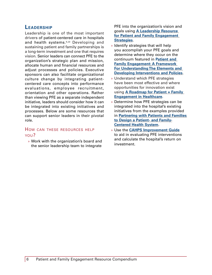## <span id="page-5-0"></span>**Leadership**

Leadership is one of the most important drivers of patient-centered care in hospitals and health systems.9,<sup>10</sup> Developing and sustaining patient and family partnerships is a long-term investment and one that requires vision. Senior leaders can connect PFE to the organization's strategic plan and mission, allocate human and financial resources and adjust processes and policies. Executive sponsors can also facilitate organizational culture change by integrating patientcentered care concepts into performance evaluations, employee recruitment, orientation and other operations. Rather than viewing PFE as a separate independent initiative, leaders should consider how it can be integrated into existing initiatives and processes. Below are some resources that can support senior leaders in their pivotal role.

#### How can these resources help you?

» Work with the organization's board and the senior leadership team to integrate

PFE into the organization's vision and goals using **[A Leadership Resource](http://www.hpoe.org/Reports-HPOE/Patient_Family_Engagement_2013.pdf)  [for Patient and Family Engagement](http://www.hpoe.org/Reports-HPOE/Patient_Family_Engagement_2013.pdf)  [Strategies](http://www.hpoe.org/Reports-HPOE/Patient_Family_Engagement_2013.pdf)**.

- » Identify strategies that will help you accomplish your PFE goals and determine where they occur on the continuum featured in **[Patient and](http://content.healthaffairs.org/content/32/2/223.full)  [Family Engagement: A Framework](http://content.healthaffairs.org/content/32/2/223.full)  [For Understanding The Elements and](http://content.healthaffairs.org/content/32/2/223.full)  [Developing Interventions and Policies](http://content.healthaffairs.org/content/32/2/223.full)**.
- » Understand which PFE strategies have been most effective and where opportunities for innovation exist using **[A Roadmap for Patient + Family](http://patientfamilyengagement.org/)  [Engagement in Healthcare.](http://patientfamilyengagement.org/)**
- » Determine how PFE strategies can be integrated into the hospital's existing initiatives from the examples provided in **[Partnering with Patients and Families](http://www.ipfcc.org/pdf/PartneringwithPatientsandFamilies.pdf)  [to Design a Patient- and Family-](http://www.ipfcc.org/pdf/PartneringwithPatientsandFamilies.pdf)[Centered Health System](http://www.ipfcc.org/pdf/PartneringwithPatientsandFamilies.pdf)**.
- » Use the **[CAHPS Improvement Guide](https://cahps.ahrq.gov/quality-improvement/improvement-guide/improvement-guide.html)** to aid in evaluating PFE interventions and calculate the hospital's return on investment.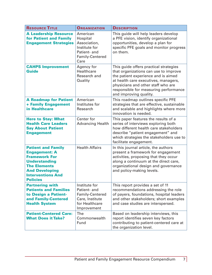| <b>RESOURCE TITLE</b>                                                                                                                                                                            | <b>ORGANIZATION</b>                                                                                  | <b>DESCRIPTION</b>                                                                                                                                                                                                                                                      |
|--------------------------------------------------------------------------------------------------------------------------------------------------------------------------------------------------|------------------------------------------------------------------------------------------------------|-------------------------------------------------------------------------------------------------------------------------------------------------------------------------------------------------------------------------------------------------------------------------|
| <b>A Leadership Resource</b><br>for Patient and Family<br><b>Engagement Strategies</b>                                                                                                           | American<br>Hospital<br>Association,<br>Institute for<br>Patient- and<br>Family-Centered<br>Care     | This guide will help leaders develop<br>a PFE vision, identify organizational<br>opportunities, develop a plan for<br>specific PFE goals and monitor progress<br>on them.                                                                                               |
| <b>CAHPS Improvement</b><br><b>Guide</b>                                                                                                                                                         | Agency for<br>Healthcare<br>Research and<br>Quality                                                  | This guide offers practical strategies<br>that organizations can use to improve<br>the patient experience and is aimed<br>at health care executives, managers,<br>physicians and other staff who are<br>responsible for measuring performance<br>and improving quality. |
| <b>A Roadmap for Patient</b><br>+ Family Engagement<br>in Healthcare                                                                                                                             | American<br>Institutes for<br>Research                                                               | This roadmap outlines specific PFE<br>strategies that are effective, sustainable<br>and scalable and highlights where more<br>innovation is needed.                                                                                                                     |
| <b>Here to Stay: What</b><br><b>Health Care Leaders</b><br><b>Say About Patient</b><br><b>Engagement</b>                                                                                         | Center for<br><b>Advancing Health</b>                                                                | This paper features the results of a<br>series of interviews exploring both<br>how different health care stakeholders<br>describe "patient engagement" and<br>which strategies the stakeholders use to<br>facilitate engagement.                                        |
| <b>Patient and Family</b><br><b>Engagement: A</b><br><b>Framework For</b><br><b>Understanding</b><br><b>The Elements</b><br><b>And Developing</b><br><b>Interventions And</b><br><b>Policies</b> | <b>Health Affairs</b>                                                                                | In this journal article, the authors<br>present a framework for engagement<br>activities, proposing that they occur<br>along a continuum at the direct care,<br>organizational design and governance<br>and policy-making levels.                                       |
| <b>Partnering with</b><br><b>Patients and Families</b><br>to Design a Patient-<br>and Family-Centered<br><b>Health System</b>                                                                    | Institute for<br>Patient- and<br>Family-Centered<br>Care, Institute<br>for Healthcare<br>Improvement | This report provides a set of 11<br>recommendations addressing the role<br>of payers, foundations, hospital leaders<br>and other stakeholders; short examples<br>and case studies are interspersed.                                                                     |
| <b>Patient-Centered Care:</b><br><b>What Does it Take?</b>                                                                                                                                       | The<br>Commonwealth<br>Fund                                                                          | Based on leadership interviews, this<br>report identifies seven key factors<br>contributing to patient-centered care at<br>the organization level.                                                                                                                      |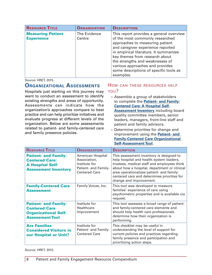<span id="page-7-0"></span>

| <b>RESOURCE TITLE</b>                         | <b>ORGANIZATION</b>    | <b>DESCRIPTION</b>                                                                                                                                                                                                                                                                                                                             |
|-----------------------------------------------|------------------------|------------------------------------------------------------------------------------------------------------------------------------------------------------------------------------------------------------------------------------------------------------------------------------------------------------------------------------------------|
| <b>Measuring Patient</b><br><b>Experience</b> | The Evidence<br>Centre | This report provides a general overview<br>of the most commonly researched<br>approaches to measuring patient<br>and caregiver experience reported<br>in empirical literature. It summarizes<br>key themes from research about<br>the strengths and weaknesses of<br>various approaches and provides<br>some descriptions of specific tools as |
|                                               |                        | examples.                                                                                                                                                                                                                                                                                                                                      |

## **Organizational Assessments**

Hospitals just starting on this journey may want to conduct an assessment to identify existing strengths and areas of opportunity. Assessments can indicate how the organization's approaches compare to best practice and can help prioritize initiatives and evaluate progress at different levels of the organization. Below are some assessments related to patient- and family-centered care and family presence policies.

#### How can these resources help you?

- » Assemble a group of stakeholders to complete the **[Patient- and Family-](http://www.aha.org/aha/content/2005/pdf/assessment.pdf)[Centered Care: A Hospital Self-](http://www.aha.org/aha/content/2005/pdf/assessment.pdf)[Assessment Inventory](http://www.aha.org/aha/content/2005/pdf/assessment.pdf)** including board quality committee members, senior leaders, managers, front-line staff and patient and family advisors.
- » Determine priorities for change and improvement using the **[Patient- and](http://www.ihi.org/resources/Pages/Tools/PatientFamilyCenteredCareOrganizationalSelfAssessmentTool.aspx)  [Family-Centered Care Organizational](http://www.ihi.org/resources/Pages/Tools/PatientFamilyCenteredCareOrganizationalSelfAssessmentTool.aspx)  [Self-Assessment Tool](http://www.ihi.org/resources/Pages/Tools/PatientFamilyCenteredCareOrganizationalSelfAssessmentTool.aspx)**.

| <b>RESOURCE TITLE</b>                                                                                          | <b>ORGANIZATION</b>                                                                                | <b>DESCRIPTION</b>                                                                                                                                                                                                                                                                                         |
|----------------------------------------------------------------------------------------------------------------|----------------------------------------------------------------------------------------------------|------------------------------------------------------------------------------------------------------------------------------------------------------------------------------------------------------------------------------------------------------------------------------------------------------------|
| <b>Patient- and Family-</b><br><b>Centered Care:</b><br><b>A Hospital Self-</b><br><b>Assessment Inventory</b> | American Hospital<br>Association,<br>Institute for<br>Patient- and Family-<br><b>Centered Care</b> | This assessment inventory is designed to<br>help hospital and health system leaders,<br>trustees, medical staff and employees think<br>about how a hospital, department or clinical<br>area operationalizes patient- and family-<br>centered care and determines priorities for<br>change and improvement. |
| <b>Family-Centered Care</b><br><b>Assessment</b>                                                               | Family Voices, Inc.                                                                                | This tool was developed to measure<br>families' experience of care using<br>psychometric properties and is available via<br>request.                                                                                                                                                                       |
| <b>Patient- and Family-</b><br><b>Centered Care</b><br><b>Organizational Self-</b><br><b>Assessment Tool</b>   | Institute for<br><b>Healthcare</b><br>Improvement                                                  | This tool assesses a broad range of patient-<br>and family-centered care elements and<br>should help health care professionals<br>determine how their organization is<br>performing.                                                                                                                       |
| <b>Are Families</b><br><b>Considered Visitors in</b><br>our Hospital or Unit?                                  | Institute for<br>Patient- and Family-<br><b>Centered Care</b>                                      | This checklist may be useful in<br>understanding the level of support for<br>current policies and practices regarding<br>family presence and participation and<br>prioritizing action steps.                                                                                                               |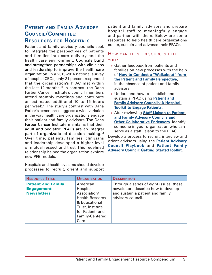## <span id="page-8-0"></span>**Patient and Family Advisory Council/Committee: Resources for Hospitals**

Patient and family advisory councils seek to integrate the perspectives of patients and families into care delivery and the health care environment. Councils build and strengthen partnerships with clinicians and leadership to improve the health care organization. In a 2013-2014 national survey of hospital CEOs, only 21 percent responded that the organization's PFAC met within the last 12 months.<sup>11</sup> In contrast, the Dana Farber Cancer Institute's council members attend monthly meetings and contribute an estimated additional 10 to 15 hours per week.12 The study's contrast with Dana Farber's experience suggests a wide variation in the way health care organizations engage their patient and family advisors. The Dana Farber Cancer Institute maintains that their adult and pediatric PFACs are an integral part of organizational decision-making.<sup>13</sup> Over time, patients, families, clinicians and leadership developed a higher level of mutual respect and trust. This redefined relationship helped the organization explore new PFE models.

patient and family advisors and prepare hospital staff to meaningfully engage and partner with them. Below are some resources to help health care organizations create, sustain and advance their PFACs.

#### How can these resources help you?

- » Gather feedback from patients and families on new processes with the help of **[How to Conduct a "Walkabout" from](http://www.ipfcc.org/advance/How_To_Conduct_A_Walk-About.pdf)  [the Patient and Family Perspective](http://www.ipfcc.org/advance/How_To_Conduct_A_Walk-About.pdf)**, in the absence of patient and family advisors.
- » Understand how to establish and sustain a PFAC using **[Patient and](http://www.cha.com/Documents/Focus-Areas/Patient-Safety/PFAC-Toolkit-_December-2014_Final.aspx)  [Family Advisory Councils: A Hospital](http://www.cha.com/Documents/Focus-Areas/Patient-Safety/PFAC-Toolkit-_December-2014_Final.aspx)  [Toolkit to Engage Patients.](http://www.cha.com/Documents/Focus-Areas/Patient-Safety/PFAC-Toolkit-_December-2014_Final.aspx)**
- » After reviewing **[Staff Liaison to Patient](http://www.ipfcc.org/advance/Staff_Liaison.pdf)  [and Family Advisory Councils and](http://www.ipfcc.org/advance/Staff_Liaison.pdf)  [Other Collaborative Endeavors](http://www.ipfcc.org/advance/Staff_Liaison.pdf)**, identify someone in your organization who can serve as a staff liaison to the PFAC.

Develop a process to recruit, interview and orient advisors using the **[Patient Advisory](http://www.hret-hen.org/topics/pfe/13-14/2013-PFEKaiserAdvisoryCouncilPlaybook.docx)  [Council Playbook](http://www.hret-hen.org/topics/pfe/13-14/2013-PFEKaiserAdvisoryCouncilPlaybook.docx)** and **[Patient Family](http://c.ymcdn.com/sites/www.theberylinstitute.org/resource/resmgr/webinar_pdf/pfac_toolkit_shared_version.pdf)  [Advisory Council: Getting Started Toolkit](http://c.ymcdn.com/sites/www.theberylinstitute.org/resource/resmgr/webinar_pdf/pfac_toolkit_shared_version.pdf)**.

| <b>RESOURCE TITLE</b>                                                | <b>ORGANIZATION</b>                                                                                                                                | <b>DESCRIPTION</b>                                                                                                                      |
|----------------------------------------------------------------------|----------------------------------------------------------------------------------------------------------------------------------------------------|-----------------------------------------------------------------------------------------------------------------------------------------|
| <b>Patient and Family</b><br><b>Engagement</b><br><b>Newsletters</b> | American<br>Hospital<br>Association/<br><b>Health Research</b><br>& Educational<br>Trust, Institute<br>for Patient- and<br>Family-Centered<br>Care | Through a series of eight issues, these<br>newsletters describe how to develop<br>and sustain a patient and family<br>advisory council. |

Hospitals and health systems should develop processes to recruit, orient and support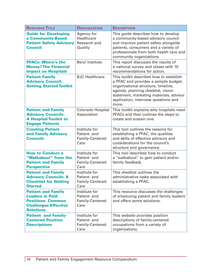| <b>RESOURCE TITLE</b>                                                                                                              | <b>ORGANIZATION</b>                                             | <b>DESCRIPTION</b>                                                                                                                                                                                                                                       |
|------------------------------------------------------------------------------------------------------------------------------------|-----------------------------------------------------------------|----------------------------------------------------------------------------------------------------------------------------------------------------------------------------------------------------------------------------------------------------------|
| <b>Guide for Developing</b><br>a Community-Based<br><b>Patient Safety Advisory</b><br><b>Council</b>                               | Agency for<br>Healthcare<br>Research and<br>Quality             | This guide describes how to develop<br>a community-based advisory council<br>and improve patient safety alongside<br>patients, consumers and a variety of<br>professionals from both health care and<br>community organizations.                         |
| <b>PFACs: Where's the</b><br><b>Money? The Financial</b><br><b>Impact on Hospitals</b>                                             | <b>Beryl Institute</b>                                          | This report discusses the results of<br>a national survey and closes with 10<br>recommendations for action.                                                                                                                                              |
| <b>Patient Family</b><br><b>Advisory Council:</b><br><b>Getting Started Toolkit</b>                                                | <b>BJC</b> Healthcare                                           | This toolkit describes how to establish<br>a PFAC and provides a sample budget,<br>organizational structure, timeline,<br>agenda, planning checklist, vision<br>statement, marketing materials, advisor<br>application, interview questions and<br>more. |
| <b>Patient and Family</b><br><b>Advisory Councils:</b><br><b>A Hospital Toolkit to</b><br><b>Engage Patients</b>                   | <b>Colorado Hospital</b><br>Association                         | This toolkit explains why hospitals need<br>PFACs and then outlines the steps to<br>create and sustain one.                                                                                                                                              |
| <b>Creating Patient</b><br>and Family Advisory<br><b>Councils</b>                                                                  | Institute for<br>Patient- and<br>Family-Centered<br>Care        | This tool outlines the reasons for<br>establishing a PFAC, the qualities<br>and skills of effective advisors and<br>considerations for the council's<br>structure and governance.                                                                        |
| <b>How to Conduct a</b><br>"Walkabout" from the<br><b>Patient and Family</b><br><b>Perspective</b>                                 | Institute for<br>Patient- and<br>Family-Centered<br>Care        | This tool describes how to conduct<br>a "walkabout" to gain patient and/or<br>family feedback.                                                                                                                                                           |
| <b>Patient and Family</b><br><b>Advisory Councils: A</b><br><b>Checklist for Getting</b><br><b>Started</b>                         | Institute for<br>Patient- and<br>Family-Centered<br>Care        | This checklist outlines the<br>administrative tasks associated with<br>establishing a PFAC.                                                                                                                                                              |
| <b>Patient and Family</b><br><b>Leaders in Paid</b><br><b>Positions: Common</b><br><b>Challenges-Effective</b><br><b>Solutions</b> | Institute for<br>Patient- and<br>Family-Centered<br>Care        | This resource discusses the challenges<br>of employing patient and family leaders<br>and offers some solutions.                                                                                                                                          |
| <b>Patient- and Family-</b><br><b>Centered Position</b><br><b>Descriptions</b>                                                     | Institute for<br>Patient- and<br><b>Family-Centered</b><br>Care | This website provides position<br>descriptions of family-centered<br>occupations from a variety of<br>organizations.                                                                                                                                     |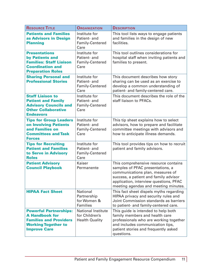| <b>RESOURCE TITLE</b>                                                                                                                        | <b>ORGANIZATION</b>                                                  | <b>DESCRIPTION</b>                                                                                                                                                                                                                      |
|----------------------------------------------------------------------------------------------------------------------------------------------|----------------------------------------------------------------------|-----------------------------------------------------------------------------------------------------------------------------------------------------------------------------------------------------------------------------------------|
| <b>Patients and Families</b><br>as Advisors in Design<br><b>Planning</b>                                                                     | Institute for<br>Patient- and<br>Family-Centered<br>Care             | This tool lists ways to engage patients<br>and families in the design of new<br>facilities.                                                                                                                                             |
| <b>Presentations</b><br>by Patients and<br><b>Families: Staff Liaison</b><br><b>Coordination and</b><br><b>Preparation Roles</b>             | Institute for<br>Patient- and<br>Family-Centered<br>Care             | This tool outlines considerations for<br>hospital staff when inviting patients and<br>families to present.                                                                                                                              |
| <b>Sharing Personal and</b><br><b>Professional Stories</b>                                                                                   | Institute for<br>Patient- and<br>Family-Centered<br>Care             | This document describes how story<br>sharing can be used as an exercise to<br>develop a common understanding of<br>patient- and family-centered care.                                                                                   |
| <b>Staff Liaison to</b><br><b>Patient and Family</b><br><b>Advisory Councils and</b><br><b>Other Collaborative</b><br><b>Endeavors</b>       | Institute for<br>Patient- and<br>Family-Centered<br>Care             | This document describes the role of the<br>staff liaison to PFACs.                                                                                                                                                                      |
| <b>Tips for Group Leaders</b><br>on Involving Patients<br>and Families on<br><b>Committees and Task</b><br><b>Forces</b>                     | Institute for<br>Patient- and<br>Family-Centered<br>Care             | This tip sheet explains how to select<br>advisors, how to prepare and facilitate<br>committee meetings with advisors and<br>how to anticipate illness demands.                                                                          |
| <b>Tips for Recruiting</b><br><b>Patient and Families</b><br>to Serve in Advisory<br><b>Roles</b>                                            | Institute for<br>Patient- and<br>Family-Centered<br>Care             | This tool provides tips on how to recruit<br>patient and family advisors.                                                                                                                                                               |
| <b>Patient Advisory</b><br><b>Council Playbook</b>                                                                                           | Kaiser<br>Permanente                                                 | This comprehensive resource contains<br>samples of PFAC presentations, a<br>communications plan, measures of<br>success, a patient and family advisor<br>application, interview questions, PFAC<br>meeting agendas and meeting minutes. |
| <b>HIPAA Fact Sheet</b>                                                                                                                      | National<br>Partnership<br>for Women &<br>Families                   | This fact sheet dispels myths regarding<br>HIPAA privacy and security rules and<br>Joint Commission standards as barriers<br>to patient- and family-centered care.                                                                      |
| <b>Powerful Partnerships:</b><br><b>A Handbook for</b><br><b>Families and Providers</b><br><b>Working Together to</b><br><b>Improve Care</b> | <b>National Institute</b><br>for Children's<br><b>Health Quality</b> | This guide is intended to help both<br>family members and health care<br>professionals who are working together<br>and includes communication tips,<br>patient stories and frequently asked<br>questions.                               |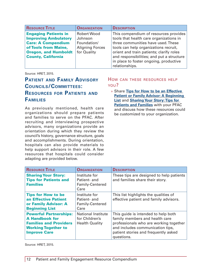| <b>RESOURCE TITLE</b>                                      | <b>ORGANIZATION</b>                   | <b>DESCRIPTION</b>                                                                |
|------------------------------------------------------------|---------------------------------------|-----------------------------------------------------------------------------------|
| <b>Engaging Patients in</b><br><b>Improving Ambulatory</b> | <b>Robert Wood</b><br>Johnson         | This compendium of resources provides<br>tools that health care organizations in  |
| <b>Care: A Compendium</b>                                  | Foundation/                           | three communities have used. These                                                |
| of Tools from Maine,<br><b>Oregon, and Humboldt</b>        | <b>Aligning Forces</b><br>for Quality | tools can help organizations recruit,<br>orient and train patients; clarify roles |
| <b>County, California</b>                                  |                                       | and responsibilities; and put a structure                                         |
|                                                            |                                       | in place to foster ongoing, productive<br>relationships.                          |

## **Patient and Family Advisory Councils/Committees: Resources for Patients and Families**

As previously mentioned, health care organizations should prepare patients and families to serve on the PFAC. After recruiting and interviewing prospective advisors, many organizations provide an orientation during which they review the council's history, governance structure, goals and accomplishments. During orientation, hospitals can also provide materials to help support advisors in their role. A few resources that hospitals could consider adapting are provided below.

#### How can these resources help you?

» Share **[Tips for How to be an Effective](http://www.ipfcc.org/advance/tipsforhowtobe.pdf)  [Patient or Family Advisor: A Beginning](http://www.ipfcc.org/advance/tipsforhowtobe.pdf)  [List](http://www.ipfcc.org/advance/tipsforhowtobe.pdf)** and **[Sharing Your Story: Tips for](http://www.ipfcc.org/advance/Sharing_Your_Story.pdf)  [Patients and Families](http://www.ipfcc.org/advance/Sharing_Your_Story.pdf)** with your PFAC and discuss how these resources could be customized to your organization.

| <b>RESOURCE TITLE</b>                                                                                                                        | <b>ORGANIZATION</b>                                                  | <b>DESCRIPTION</b>                                                                                                                                                                                        |
|----------------------------------------------------------------------------------------------------------------------------------------------|----------------------------------------------------------------------|-----------------------------------------------------------------------------------------------------------------------------------------------------------------------------------------------------------|
| <b>Sharing Your Story:</b><br><b>Tips for Patients and</b><br><b>Families</b>                                                                | Institute for<br>Patient- and<br>Family-Centered<br>Care             | These tips are designed to help patients<br>and families share their story.                                                                                                                               |
| <b>Tips for How to be</b><br>an Effective Patient<br>or Family Advisor: A<br><b>Beginning List</b>                                           | Institute for<br>Patient- and<br>Family-Centered<br>Care             | This list highlights the qualities of<br>effective patient and family advisors.                                                                                                                           |
| <b>Powerful Partnerships:</b><br><b>A Handbook for</b><br><b>Families and Providers</b><br><b>Working Together to</b><br><b>Improve Care</b> | <b>National Institute</b><br>for Children's<br><b>Health Quality</b> | This quide is intended to help both<br>family members and health care<br>professionals who are working together<br>and includes communication tips,<br>patient stories and frequently asked<br>questions. |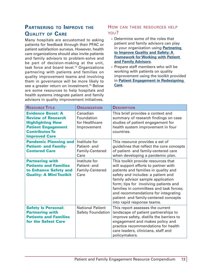## <span id="page-12-0"></span>**Partnering to Improve the Quality of Care**

Many hospitals are accustomed to asking patients for feedback through their PFAC or patient satisfaction surveys. However, health care organizations should also invite patients and family advisors to problem-solve and be part of decision-making at the unit, task force and board level.<sup>14</sup> Organizations partnering with patients and families on quality improvement teams and involving them in governance will be more likely to see a greater return on investment.<sup>15</sup> Below are some resources to help hospitals and health systems integrate patient and family advisors in quality improvement initiatives.

- » Determine some of the roles that patient and family advisors can play in your organization using **[Partnering](http://www.hpoe.org/resources/hpoehretaha-guides/1828)  [to Improve Quality and Safety: A](http://www.hpoe.org/resources/hpoehretaha-guides/1828)  [Framework for Working with Patient](http://www.hpoe.org/resources/hpoehretaha-guides/1828)  [and Family Advisors](http://www.hpoe.org/resources/hpoehretaha-guides/1828)**.
- » Prepare staff members who will be working with patients on quality improvement using the toolkit provided in **[Patient Engagement in Redesigning](http://www.hipxchange.org/PatientEngagement)  [Care](http://www.hipxchange.org/PatientEngagement)**.

| <b>RESOURCE TITLE</b>                                                                                                                                          | <b>ORGANIZATION</b>                                      | <b>DESCRIPTION</b>                                                                                                                                                                                                                                                                                                                                                                               |
|----------------------------------------------------------------------------------------------------------------------------------------------------------------|----------------------------------------------------------|--------------------------------------------------------------------------------------------------------------------------------------------------------------------------------------------------------------------------------------------------------------------------------------------------------------------------------------------------------------------------------------------------|
| <b>Evidence Boost: A</b><br><b>Review of Research</b><br><b>Highlighting How</b><br><b>Patient Engagement</b><br><b>Contributes To</b><br><b>Improved Care</b> | Canadian<br>Foundation<br>for Healthcare<br>Improvement  | This brief provides a context and<br>summary of research findings on case<br>studies of patient engagement for<br>health system improvement in four<br>countries.                                                                                                                                                                                                                                |
| <b>Pandemic Planning and</b><br><b>Patient- and Family-</b><br><b>Centered Care</b>                                                                            | Institute for<br>Patient- and<br>Family-Centered<br>Care | This resource provides a set of<br>guidelines that reflect the core concepts<br>of patient- and family-centered care<br>when developing a pandemic plan.                                                                                                                                                                                                                                         |
| <b>Partnering with</b><br><b>Patients and Families</b><br>to Enhance Safety and<br><b>Quality: A Mini Toolkit</b>                                              | Institute for<br>Patient- and<br>Family-Centered<br>Care | This toolkit provide resources that<br>will support efforts to partner with<br>patients and families in quality and<br>safety and includes: a patient and<br>family advisor sample application<br>form; tips for involving patients and<br>families in committees and task forces;<br>and recommendations for integrating<br>patient- and family-centered concepts<br>into rapid response teams. |
| <b>Safety Is Personal:</b><br><b>Partnering with</b><br><b>Patients and Families</b><br>for the Safest Care                                                    | <b>National Patient</b><br><b>Safety Foundation</b>      | This report assesses the current<br>landscape of patient partnerships to<br>improve safety, distills the barriers to<br>engagement and makes policy and<br>practice recommendations for health<br>care leaders, clinicians, staff and<br>policymakers.                                                                                                                                           |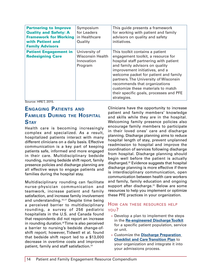<span id="page-13-0"></span>

| <b>Partnering to Improve</b><br><b>Quality and Safety: A</b><br><b>Framework for Working</b><br>with Patient and<br><b>Family Advisors</b> | Symposium<br>for Leaders<br>in Healthcare<br>Quality              | This guide presents a framework<br>for working with patient and family<br>advisors on quality and safety<br>initiatives.                                                                                                                                                                                                                                                                               |
|--------------------------------------------------------------------------------------------------------------------------------------------|-------------------------------------------------------------------|--------------------------------------------------------------------------------------------------------------------------------------------------------------------------------------------------------------------------------------------------------------------------------------------------------------------------------------------------------------------------------------------------------|
| <b>Patient Engagement in</b><br><b>Redesigning Care</b>                                                                                    | University of<br><b>Wisconsin Health</b><br>Innovation<br>Program | This toolkit contains a patient<br>engagement toolkit, a resource for<br>hospital staff partnering with patient<br>and family advisors on quality<br>improvement initiatives, and a<br>welcome packet for patient and family<br>partners. The University of Wisconsin<br>recommends that organizations<br>customize these materials to match<br>their specific goals, processes and PFE<br>strategies. |

## **Engaging Patients and Families During the Hospital Stay**

Health care is becoming increasingly complex and specialized. As a result, hospitalized patients interact with many different clinicians on a daily basis. Effective communication is a key part of keeping patients safe, informed and more engaged in their care. Multidisciplinary bedside rounding, nursing bedside shift report, family presence policies and discharge planning are all effective ways to engage patients and families during the hospital stay.

Multidisciplinary rounding can facilitate nurse-physician communication and teamwork, increase patient and family satisfaction, and increase family involvement and understanding.<sup>16,17</sup> Despite time being a perceived barrier to multidisciplinary rounding, a survey of 256 pediatric hospitalists in the U.S. and Canada found that respondents did not report an increase in rounding duration.<sup>18</sup> Time is also perceived a barrier to nursing's bedside change-ofshift report; however, Tidwell et al. found that bedside shift report led to a \$13,000 decrease in overtime costs and improved patient, family and staff satisfaction.<sup>19</sup>

Clinicians have the opportunity to increase patient and family members' knowledge and skills while they are in the hospital. Welcoming family presence policies also encourage family members to participate in their loved ones' care and discharge planning. Discharge planning aims to reduce hospital length of stay, prevent unplanned readmission to hospital and improve the coordination of services following discharge from hospital. Discharge planning should begin well before the patient is actually discharged.20 Evidence suggests that hospital discharge planning is more effective if there is interdisciplinary communication, open communication between health care workers and family, family education and ongoing support after discharge.<sup>21</sup> Below are some resources to help you implement or optimize these PFE practices in your organization.

- » Develop a plan to implement the steps in the **[Re-engineered Discharge Toolkit](http://www.ahrq.gov/professionals/systems/hospital/red/toolkit/)** for a specific patient population, service or unit.
- » Customize the **[Discharge Preparation](http://www.rwjf.org/content/dam/farm/toolkits/toolkits/2013/rwjf404048)  [Checklist and Care Transition Plan](http://www.rwjf.org/content/dam/farm/toolkits/toolkits/2013/rwjf404048)** to your organization and integrate it into your admissions process.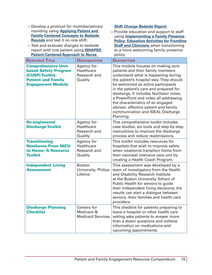| » Develop a protocol for multidisciplinary<br>rounding using Applying Patient and<br><b>Family-Centered Concepts to Bedside</b><br>Rounds and test it on one shift.<br>» Test and evaluate changes to bedside<br>report with one patient using <b>ISHAPED</b><br><b>Patient-Centered Approach to Nurse</b><br><b>RESOURCE TITLE</b> | <b>ORGANIZATION</b>                                   | <b>Shift Change Bedside Report.</b><br>» Provide education and support to staff<br>using <b>Implementing a Family Presence</b><br><b>Policy: Education Activities for Frontline</b><br><b>Staff and Clinicians when transitioning</b><br>to a more welcoming family presence<br>policy.<br><b>DESCRIPTION</b>                                                                                                              |
|-------------------------------------------------------------------------------------------------------------------------------------------------------------------------------------------------------------------------------------------------------------------------------------------------------------------------------------|-------------------------------------------------------|----------------------------------------------------------------------------------------------------------------------------------------------------------------------------------------------------------------------------------------------------------------------------------------------------------------------------------------------------------------------------------------------------------------------------|
| <b>Comprehensive Unit-</b>                                                                                                                                                                                                                                                                                                          | Agency for                                            | This module focuses on making sure                                                                                                                                                                                                                                                                                                                                                                                         |
| <b>based Safety Program</b><br>(CUSP) Toolkit:<br><b>Patient and Family</b><br><b>Engagement Module</b>                                                                                                                                                                                                                             | Healthcare<br>Research and<br>Quality                 | patients and their family members<br>understand what is happening during<br>the patient's hospital stay. They should<br>be welcomed as active participants<br>in the patient's care and prepared for<br>discharge. It includes facilitator notes,<br>a PowerPoint and video all addressing<br>the characteristics of an engaged<br>advisor, effective patient and family<br>communication and IDEAL Discharge<br>Planning. |
| <b>Re-engineered</b><br><b>Discharge Toolkit</b>                                                                                                                                                                                                                                                                                    | Agency for<br>Healthcare<br>Research and<br>Quality   | This comprehensive toolkit includes<br>case studies, six tools and step-by-step<br>instructions to improve the discharge<br>process and reduce readmissions.                                                                                                                                                                                                                                                               |
| <b>Transitioning</b><br><b>Newborns From NICU</b><br>to Home: A Resource<br><b>Toolkit</b>                                                                                                                                                                                                                                          | Agency for<br>Healthcare<br>Research and<br>Quality   | This toolkit includes resources for<br>hospitals that wish to improve safety<br>when newborns transition home from<br>their neonatal intensive care unit by<br>creating a Health Coach Program.                                                                                                                                                                                                                            |
| <b>Independent Living</b><br><b>Assessment</b>                                                                                                                                                                                                                                                                                      | <b>Boston</b><br>University, Philips<br>Lifeline      | This assessment was developed by a<br>team of investigators from the Health<br>and Disability Research Institute<br>at the Boston University School of<br>Public Health for seniors to guide<br>their independent living decisions; the<br>results can start a dialogue between<br>seniors, their families and health care<br>providers.                                                                                   |
| <b>Discharge Planning</b><br><b>Checklist</b>                                                                                                                                                                                                                                                                                       | Centers for<br>Medicare &<br><b>Medicaid Services</b> | This checklist for patients preparing to<br>leave a hospital or other health care<br>setting asks patients to answer more<br>than a dozen questions and collects<br>information on medications and<br>upcoming appointments.                                                                                                                                                                                               |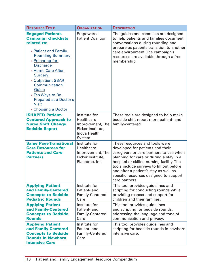| <b>RESOURCE TITLE</b>                                                                                                                                                                                                                                                                                                                            | <b>ORGANIZATION</b>                                                                            | <b>DESCRIPTION</b>                                                                                                                                                                                                                                                                                                                                     |
|--------------------------------------------------------------------------------------------------------------------------------------------------------------------------------------------------------------------------------------------------------------------------------------------------------------------------------------------------|------------------------------------------------------------------------------------------------|--------------------------------------------------------------------------------------------------------------------------------------------------------------------------------------------------------------------------------------------------------------------------------------------------------------------------------------------------------|
| <b>Engaged Patients</b><br><b>Campaign checklists</b><br>related to:<br>» Patient and Family<br><b>Rounding Summary</b><br>» Preparing for<br><b>Discharge</b><br>» Home Care After<br>Surgery<br>» Outpatient SBAR<br><b>Communication</b><br>Guide<br>» Ten Ways to Be<br><b>Prepared at a Doctor's</b><br><b>Visit</b><br>» Choosing a Doctor | Empowered<br><b>Patient Coalition</b>                                                          | The guides and checklists are designed<br>to help patients and families document<br>conversations during rounding and<br>prepare as patients transition to another<br>care environment. The campaign's<br>resources are available through a free<br>membership.                                                                                        |
| <b>ISHAPED Patient-</b>                                                                                                                                                                                                                                                                                                                          | Institute for                                                                                  | These tools are designed to help make                                                                                                                                                                                                                                                                                                                  |
| <b>Centered Approach to</b><br><b>Nurse Shift Change</b><br><b>Bedside Report</b>                                                                                                                                                                                                                                                                | Healthcare<br>Improvement, The<br>Picker Institute,<br>Inova Health<br>System                  | bedside shift report more patient- and<br>family-centered.                                                                                                                                                                                                                                                                                             |
| <b>Same Page Transitional</b><br><b>Care Resources for</b><br><b>Patients and Care</b><br><b>Partners</b>                                                                                                                                                                                                                                        | Institute for<br><b>Healthcare</b><br>Improvement, The<br>Picker Institute,<br>Planetree, Inc. | These resources and tools were<br>developed for patients and their<br>caregivers or care partners to use when<br>planning for care or during a stay in a<br>hospital or skilled nursing facility. The<br>tools include surveys to fill out before<br>and after a patient's stay as well as<br>specific resources designed to support<br>care partners. |
| <b>Applying Patient</b><br>and Family-Centered<br><b>Concepts to Bedside</b><br><b>Pediatric Rounds</b>                                                                                                                                                                                                                                          | Institute for<br>Patient- and<br>Family-Centered<br>Care                                       | This tool provides guidelines and<br>scripting for conducting rounds while<br>providing respect and support for<br>children and their families.                                                                                                                                                                                                        |
| <b>Applying Patient</b><br>and Family-Centered<br><b>Concepts to Bedside</b><br><b>Rounds</b>                                                                                                                                                                                                                                                    | Institute for<br>Patient- and<br>Family-Centered<br>Care                                       | This tool provides guidelines<br>and scripting for bedside rounds,<br>addressing the language and tone of<br>communication and privacy.                                                                                                                                                                                                                |
| <b>Applying Patient</b><br>and Family-Centered<br><b>Concepts to Bedside</b><br><b>Rounds in Newborn</b><br><b>Intensive Care</b>                                                                                                                                                                                                                | Institute for<br>Patient- and<br>Family-Centered<br>Care                                       | This tool provides guidelines and<br>scripting for bedside rounds in newborn<br>intensive care.                                                                                                                                                                                                                                                        |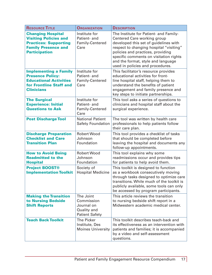| <b>RESOURCE TITLE</b>                                                                                                                          | <b>ORGANIZATION</b>                                                           | <b>DESCRIPTION</b>                                                                                                                                                                                                                                                                                                 |
|------------------------------------------------------------------------------------------------------------------------------------------------|-------------------------------------------------------------------------------|--------------------------------------------------------------------------------------------------------------------------------------------------------------------------------------------------------------------------------------------------------------------------------------------------------------------|
| <b>Changing Hospital</b><br><b>Visiting Policies and</b><br><b>Practices: Supporting</b><br><b>Family Presence and</b><br><b>Participation</b> | Institute for<br>Patient- and<br>Family-Centered<br>Care                      | The Institute for Patient- and Family-<br>Centered Care working group<br>developed this set of guidelines with<br>respect to changing hospital "visiting"<br>policies and practices, providing<br>specific comments on visitation rights<br>and the format, style and language<br>used in policies and procedures. |
| <b>Implementing a Family</b><br><b>Presence Policy:</b><br><b>Educational Activities</b><br>for Frontline Staff and<br><b>Clinicians</b>       | Institute for<br>Patient- and<br>Family-Centered<br>Care                      | This facilitator's resource provides<br>educational activities for front-<br>line hospital staff, helping them to<br>understand the benefits of patient<br>engagement and family presence and<br>key steps to initiate partnerships.                                                                               |
| <b>The Surgical</b><br><b>Experience: Initial</b><br><b>Questions to Ask</b>                                                                   | Institute for<br>Patient- and<br>Family-Centered<br>Care                      | This tool asks a series of questions to<br>clinicians and hospital staff about the<br>surgical experience.                                                                                                                                                                                                         |
| <b>Post Discharge Tool</b>                                                                                                                     | <b>National Patient</b><br><b>Safety Foundation</b>                           | The tool was written by health care<br>professionals to help patients follow<br>their care plan.                                                                                                                                                                                                                   |
| <b>Discharge Preparation</b><br><b>Checklist and Care</b><br><b>Transition Plan</b>                                                            | <b>Robert Wood</b><br>Johnson<br>Foundation                                   | This tool provides a checklist of tasks<br>that should be completed before<br>leaving the hospital and documents any<br>follow-up appointments.                                                                                                                                                                    |
| <b>How to Avoid Being</b><br><b>Readmitted to the</b><br><b>Hospital</b>                                                                       | <b>Robert Wood</b><br>Johnson<br>Foundation                                   | This tool explains why some<br>readmissions occur and provides tips<br>for patients to help avoid them.                                                                                                                                                                                                            |
| <b>Project BOOST®</b><br><b>Implementation Toolkit</b>                                                                                         | Society of<br><b>Hospital Medicine</b>                                        | This toolkit is designed to function<br>as a workbook consecutively moving<br>through tasks designed to optimize care<br>transitions. While much of the toolkit is<br>publicly available, some tools can only<br>be accessed by program participants.                                                              |
| <b>Making the Transition</b><br>to Nursing Bedside<br><b>Shift Reports</b>                                                                     | The Joint<br>Commission<br>Journal on<br>Quality and<br><b>Patient Safety</b> | This article reviews the transition<br>to nursing bedside shift report in a<br>Midwestern academic medical center.                                                                                                                                                                                                 |
| <b>Teach Back Toolkit</b>                                                                                                                      | <b>The Picker</b><br>Institute, Des<br><b>Moines University</b>               | This toolkit describes teach-back and<br>its effectiveness as an intervention with<br>patients and families; it is accompanied<br>by a video and self-assessment<br>questions.                                                                                                                                     |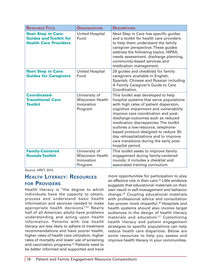<span id="page-17-0"></span>

| <b>RESOURCE TITLE</b>                                                                      | <b>ORGANIZATION</b>                                               | <b>DESCRIPTION</b>                                                                                                                                                                                                                                                                                                                                                                                                                                                              |
|--------------------------------------------------------------------------------------------|-------------------------------------------------------------------|---------------------------------------------------------------------------------------------------------------------------------------------------------------------------------------------------------------------------------------------------------------------------------------------------------------------------------------------------------------------------------------------------------------------------------------------------------------------------------|
| <b>Next Step in Care:</b><br><b>Guides and Toolkit for</b><br><b>Health Care Providers</b> | <b>United Hospital</b><br>Fund                                    | Next Step in Care has specific guides<br>and a toolkit for health care providers<br>to help them understand the family<br>caregiver perspective. These guides<br>address the following topics: HIPAA,<br>needs assessment, discharge planning,<br>community-based services and<br>medication management.                                                                                                                                                                        |
| <b>Next Step in Care:</b><br><b>Guides for Caregivers</b>                                  | <b>United Hospital</b><br>Fund                                    | 29 guides and checklists for family<br>caregivers available in English,<br>Spanish, Chinese and Russian including<br>A Family Caregiver's Guide to Care<br>Coordination.                                                                                                                                                                                                                                                                                                        |
| <b>Coordinated-</b><br><b>Transitional Care</b><br><b>Toolkit</b>                          | University of<br><b>Wisconsin Health</b><br>Innovation<br>Program | This toolkit was developed to help<br>hospital systems that serve populations<br>with high rates of patient dispersion,<br>cognitive impairment and vulnerability<br>improve care coordination and post-<br>discharge outcomes such as reduced<br>medication discrepancies. The toolkit<br>outlines a low-resource, telephone-<br>based protocol designed to reduce 30-<br>day rehospitalizations and to improve<br>care transitions during the early post-<br>hospital period. |
| <b>Family-Centered</b><br><b>Rounds Toolkit</b>                                            | University of<br><b>Wisconsin Health</b><br>Innovation<br>Program | This toolkit seeks to improve family<br>engagement during family-centered<br>rounds; it includes a checklist and<br>associated training curriculum.                                                                                                                                                                                                                                                                                                                             |

## **Health Literacy: Resources for Providers**

Health literacy is "the degree to which individuals have the capacity to obtain, process and understand basic health information and services needed to make appropriate health decisions."22 Nearly half of all American adults have problems understanding and acting upon health information. Patients with low health literacy are less likely to adhere to treatment recommendations and have poorer health, higher rates of health care utilization, higher rates of mortality and lower use of screening and vaccination programs.<sup>23</sup> Patients need to be better informed and supported and have

more opportunities for participation to play an effective role in their care.<sup>24</sup> Little evidence suggests that educational materials on their own result in self-management and behavior change.25 Coupling educational materials with professional advice and consultation has proven more impactful.<sup>26</sup> Hospitals and health systems should also involve target audiences in the design of health literacy materials and education.<sup>27</sup> Customizing health literacy and patient engagement strategies to specific populations can help reduce health care disparities. Below are some resources to help you assess and improve health literacy in your communities.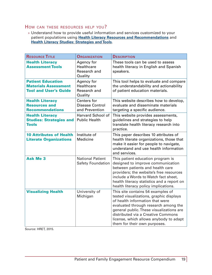## How can these resources help you?

» Understand how to provide useful information and services customized to your patient populations using **[Health Literacy Resources and Recommendations](http://www.cdc.gov/healthliteracy/learn/index.html)** and **[Health Literacy Studies: Strategies and Tools](http://www.hsph.harvard.edu/healthliteracy/practice/)**.

| <b>RESOURCE TITLE</b>                                                                   | <b>ORGANIZATION</b>                                            | <b>DESCRIPTION</b>                                                                                                                                                                                                                                                                                                  |
|-----------------------------------------------------------------------------------------|----------------------------------------------------------------|---------------------------------------------------------------------------------------------------------------------------------------------------------------------------------------------------------------------------------------------------------------------------------------------------------------------|
| <b>Health Literacy</b><br><b>Assessment Tools</b>                                       | Agency for<br><b>Healthcare</b><br>Research and<br>Quality     | These tools can be used to assess<br>health literacy in English and Spanish<br>speakers.                                                                                                                                                                                                                            |
| <b>Patient Education</b><br><b>Materials Assessment</b><br><b>Tool and User's Guide</b> | Agency for<br><b>Healthcare</b><br>Research and<br>Quality     | This tool helps to evaluate and compare<br>the understandability and actionability<br>of patient education materials.                                                                                                                                                                                               |
| <b>Health Literacy</b><br><b>Resources and</b><br><b>Recommendations</b>                | <b>Centers</b> for<br><b>Disease Control</b><br>and Prevention | This website describes how to develop,<br>evaluate and disseminate materials<br>targeting a specific audience.                                                                                                                                                                                                      |
| <b>Health Literacy</b><br><b>Studies: Strategies and</b><br><b>Tools</b>                | Harvard School of<br><b>Public Health</b>                      | This website provides assessments,<br>guidelines and strategies to help<br>translate health literacy research into<br>practice.                                                                                                                                                                                     |
| <b>10 Attributes of Health</b><br><b>Literate Organizations</b>                         | Institute of<br>Medicine                                       | This paper describes 10 attributes of<br>health literate organizations, those that<br>make it easier for people to navigate,<br>understand and use health information<br>and services.                                                                                                                              |
| <b>Ask Me 3</b>                                                                         | <b>National Patient</b><br><b>Safety Foundation</b>            | This patient education program is<br>designed to improve communication<br>between patients and health care<br>providers; the website's free resources<br>include a Words to Watch fact sheet,<br>health literacy statistics and a report on<br>health literacy policy implications.                                 |
| <b>Visualizing Health</b>                                                               | University of<br>Michigan                                      | This site contains 54 examples of<br>tested visualizations, graphic displays<br>of health information that were<br>evaluated through research among the<br>general public. These visualizations are<br>distributed via a Creative Commons<br>license, which allows anybody to adapt<br>them for their own purposes. |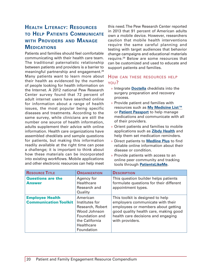## <span id="page-19-0"></span>**Health Literacy: Resources to Help Patients Communicate with Providers and Manage Medications**

Patients and families should feel comfortable communicating with their health care team. The traditional paternalistic relationship between patients and providers is a barrier to meaningful partnership and engagement.28 Many patients want to learn more about their health as evidenced by the number of people looking for health information on the Internet. A 2012 national Pew Research Center survey found that 72 percent of adult internet users have searched online for information about a range of health issues, the most popular being specific diseases and treatments. According to the same survey, while clinicians are still the number one source of health information, adults supplement their advice with online information. Health care organizations have assembled checklists and sample questions for patients, but making this information readily available at the right time can pose a challenge; it is important to think about how these materials can be incorporated into existing workflows. Mobile applications and other electronic resources can help meet this need. The Pew Research Center reported in 2013 that 91 percent of American adults own a mobile device. However, researchers caution that mobile health interventions require the same careful planning and testing with target audiences that behavior change campaigns and educational materials require.29 Below are some resources that can be customized and used to educate and support patients and families.

- » Integrate **[Doctella](https://www.doctella.com/)** checklists into the surgery preparation and recovery process.
- » Provide patient and families with resources such as **[My Medicine List™](http://www.ashpfoundation.org/MainMenuCategories/PracticeTools/MyMedicineList)** or **[Patient Passport](http://www.qualityforum.org/Patient_Passport.aspx)** to help manage medications and communicate with all of their providers.
- » Orient patients and families to mobile applications such as **[Zibdy Health](http://www.zibdy.com/)** and help them set medication reminders.
- » Direct patients to **[Medline Plus](http://www.nlm.nih.gov/medlineplus/)** to find reliable online information about their disease or condition.
- » Provide patients with access to an online peer community and tracking tools through **[PatientsLikeMe](https://www.patientslikeme.com/)**.

| <b>RESOURCE TITLE</b>                                  | <b>ORGANIZATION</b>                                                                                                            | <b>DESCRIPTION</b>                                                                                                                                                                                           |
|--------------------------------------------------------|--------------------------------------------------------------------------------------------------------------------------------|--------------------------------------------------------------------------------------------------------------------------------------------------------------------------------------------------------------|
| <b>Questions are the</b><br><b>Answer</b>              | Agency for<br>Healthcare<br>Research and<br>Quality                                                                            | This question builder helps patients<br>formulate questions for their different<br>appointment types.                                                                                                        |
| <b>Employee Health</b><br><b>Communication Toolkit</b> | American<br>Institutes for<br>Research, Robert<br>Wood Johnson<br>Foundation and<br>the California<br>Healthcare<br>Foundation | This toolkit is designed to help<br>employers communicate with their<br>employees or members about getting<br>good quality health care, making good<br>health care decisions and engaging<br>with providers. |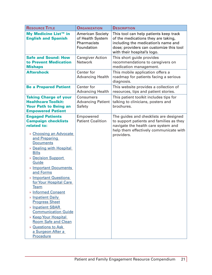| <b>RESOURCE TITLE</b>                                                                                                                                                                                                                                                                                                                                                                                                                                                                                                                                   | <b>ORGANIZATION</b>                                                      | <b>DESCRIPTION</b>                                                                                                                                                                             |
|---------------------------------------------------------------------------------------------------------------------------------------------------------------------------------------------------------------------------------------------------------------------------------------------------------------------------------------------------------------------------------------------------------------------------------------------------------------------------------------------------------------------------------------------------------|--------------------------------------------------------------------------|------------------------------------------------------------------------------------------------------------------------------------------------------------------------------------------------|
| My Medicine List™ in<br><b>English and Spanish</b>                                                                                                                                                                                                                                                                                                                                                                                                                                                                                                      | <b>American Society</b><br>of Health System<br>Pharmacists<br>Foundation | This tool can help patients keep track<br>of the medications they are taking,<br>including the medication's name and<br>dose; providers can customize this tool<br>with their hospital's logo. |
| <b>Safe and Sound: How</b><br>to Prevent Medication<br><b>Mishaps</b>                                                                                                                                                                                                                                                                                                                                                                                                                                                                                   | <b>Caregiver Action</b><br><b>Network</b>                                | This short guide provides<br>recommendations to caregivers on<br>medication management.                                                                                                        |
| <b>Aftershock</b>                                                                                                                                                                                                                                                                                                                                                                                                                                                                                                                                       | Center for<br><b>Advancing Health</b>                                    | This mobile application offers a<br>roadmap for patients facing a serious<br>diagnosis.                                                                                                        |
| <b>Be a Prepared Patient</b>                                                                                                                                                                                                                                                                                                                                                                                                                                                                                                                            | Center for<br><b>Advancing Health</b>                                    | This website provides a collection of<br>resources, tips and patient stories.                                                                                                                  |
| <b>Taking Charge of your</b><br><b>Healthcare Toolkit:</b><br><b>Your Path to Being an</b><br><b>Empowered Patient</b>                                                                                                                                                                                                                                                                                                                                                                                                                                  | <b>Consumers</b><br><b>Advancing Patient</b><br>Safety                   | This patient toolkit includes tips for<br>talking to clinicians, posters and<br>brochures.                                                                                                     |
| <b>Engaged Patients</b><br><b>Campaign checklists</b><br>related to:<br>» Choosing an Advocate<br>and Preparing<br><b>Documents</b><br>» Dealing with Hospital<br><b>Bills</b><br>» Decision Support<br>Guide<br>» Important Documents<br>and Forms<br>» Important Questions<br>for Your Hospital Care<br>Team<br><b>Informed Consent</b><br>» Inpatient Daily<br><b>Progress Sheet</b><br>» Inpatient SBAR<br><b>Communication Guide</b><br>» Keep Your Hospital<br><b>Room Safe and Clean</b><br>» Questions to Ask<br>a Surgeon After a<br>Procedure | Empowered<br><b>Patient Coalition</b>                                    | The guides and checklists are designed<br>to support patients and families as they<br>navigate the health care system and<br>help them effectively communicate with<br>providers.              |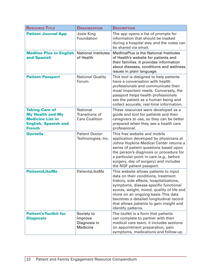| <b>RESOURCE TITLE</b>                                                                                                       | <b>ORGANIZATION</b>                                               | <b>DESCRIPTION</b>                                                                                                                                                                                                                                                                                                                                                |
|-----------------------------------------------------------------------------------------------------------------------------|-------------------------------------------------------------------|-------------------------------------------------------------------------------------------------------------------------------------------------------------------------------------------------------------------------------------------------------------------------------------------------------------------------------------------------------------------|
| <b>Patient Journal App</b>                                                                                                  | Josie King<br>Foundation                                          | The app opens a list of prompts for<br>information that should be tracked<br>during a hospital stay and the notes can<br>be shared via email.                                                                                                                                                                                                                     |
| <b>Medline Plus in English</b><br>and Spanish                                                                               | <b>National Institutes</b><br>of Health                           | <b>MedlinePlus is the National Institutes</b><br>of Health's website for patients and<br>their families. It provides information<br>about diseases, conditions and wellness<br>issues in plain language.                                                                                                                                                          |
| <b>Patient Passport</b>                                                                                                     | <b>National Quality</b><br>Forum                                  | This tool is designed to help patients<br>have a conversation with health<br>professionals and communicate their<br>most important needs. Conversely, the<br>passport helps health professionals<br>see the patient as a human being and<br>collect accurate, real-time information.                                                                              |
| <b>Taking Care of</b><br><b>My Health and My</b><br><b>Medicine List in</b><br><b>English, Spanish and</b><br><b>French</b> | <b>National</b><br><b>Transitions of</b><br><b>Care Coalition</b> | These resources were developed as a<br>guide and tool for patients and their<br>caregivers to use, so they can be better<br>prepared when they see a health care<br>professional.                                                                                                                                                                                 |
| <b>Doctella</b>                                                                                                             | <b>Patient Doctor</b><br>Technologies, Inc.                       | This free website and mobile<br>application developed by physicians at<br>Johns Hopkins Medical Center returns a<br>series of patient questions based upon<br>the person's diagnosis or procedure for<br>a particular point in care (e.g., before<br>surgery, day of surgery) and includes<br>the NQF patient passport.                                           |
| <b>PatientsLikeMe</b>                                                                                                       | PatientsLikeMe                                                    | This website allows patients to input<br>data on their conditions, treatment<br>history, side effects, hospitalizations,<br>symptoms, disease-specific functional<br>scores, weight, mood, quality of life and<br>more on an ongoing basis. This data<br>becomes a detailed longitudinal record<br>that allows patients to gain insight and<br>identify patterns. |
| <b>Patient's Toolkit for</b><br><b>Diagnosis</b>                                                                            | Society to<br>Improve<br>Diagnosis in<br><b>Medicine</b>          | The toolkit is a form that patients<br>can complete to partner with their<br>medical care team; it includes sections<br>on appointment preparation, pain<br>symptoms, medications and follow-up.                                                                                                                                                                  |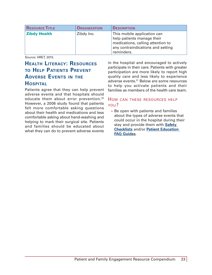<span id="page-22-0"></span>

| <b>RESOURCE TITLE</b> | <b>ORGANIZATION</b> | <b>DESCRIPTION</b>                                                                                                                                |
|-----------------------|---------------------|---------------------------------------------------------------------------------------------------------------------------------------------------|
| <b>Zibdy Health</b>   | Zibdy Inc.          | This mobile application can<br>help patients manage their<br>medications, calling attention to<br>any contraindications and setting<br>reminders. |

## **Health Literacy: Resources to Help Patients Prevent Adverse Events in the Hospital**

Patients agree that they can help prevent adverse events and that hospitals should educate them about error prevention.30 However, a 2006 study found that patients felt more comfortable asking questions about their health and medications and less comfortable asking about hand-washing and helping to mark their surgical site. Patients and families should be educated about what they can do to prevent adverse events

in the hospital and encouraged to actively participate in their care. Patients with greater participation are more likely to report high quality care and less likely to experience adverse events.<sup>31</sup> Below are some resources to help you activate patients and their families as members of the health care team.

## How can these resources help you?

» Be open with patients and families about the types of adverse events that could occur in the hospital during their stay and provide them with **[Safety](http://www.campaignzero.org/safety-checklists/)  [Checklists](http://www.campaignzero.org/safety-checklists/)** and/or **[Patient Education](http://www.shea-online.org/Patients.aspx)  [FAQ Guides](http://www.shea-online.org/Patients.aspx)**.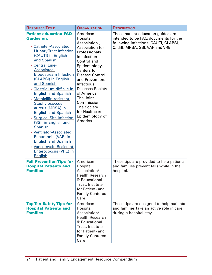| <b>RESOURCE TITLE</b>                                                                                                                                                                                                                                                                                                                                                                                                                                                                                                                                                                                                                                        | <b>ORGANIZATION</b>                                                                                                                                                                                                                                                                                                                            | <b>DESCRIPTION</b>                                                                                                                                     |
|--------------------------------------------------------------------------------------------------------------------------------------------------------------------------------------------------------------------------------------------------------------------------------------------------------------------------------------------------------------------------------------------------------------------------------------------------------------------------------------------------------------------------------------------------------------------------------------------------------------------------------------------------------------|------------------------------------------------------------------------------------------------------------------------------------------------------------------------------------------------------------------------------------------------------------------------------------------------------------------------------------------------|--------------------------------------------------------------------------------------------------------------------------------------------------------|
| <b>Patient education FAQ</b><br><b>Guides on:</b><br>» Catheter-Associated<br><b>Urinary Tract Infection</b><br>(CAUTI) in English<br>and Spanish<br>» Central Line-<br><b>Associated</b><br><b>Bloodstream Infection</b><br>(CLABSI) in English<br>and Spanish<br>» Clostridium difficile in<br><b>English and Spanish</b><br>» Methicillin-resistant<br><b>Staphylococcus</b><br>aureus (MRSA) in<br><b>English and Spanish</b><br>» Surgical Site Infection<br>(SSI) in English and<br>Spanish<br>» Ventilator-Associated<br>Pneumonia (VAP) in<br><b>English and Spanish</b><br>» Vancomycin-Resistant<br><b>Enterococcus (VRE) in</b><br><b>English</b> | American<br>Hospital<br>Association,<br>Association for<br>Professionals<br>in Infection<br>Control and<br>Epidemiology,<br>Centers for<br><b>Disease Control</b><br>and Prevention,<br>Infectious<br><b>Diseases Society</b><br>of America,<br>The Joint<br>Commission,<br><b>The Society</b><br>for Healthcare<br>Epidemiology of<br>America | These patient education guides are<br>intended to be FAQ documents for the<br>following infections: CAUTI, CLABSI,<br>C. diff, MRSA, SSI, VAP and VRE. |
| <b>Fall Prevention Tips for</b><br><b>Hospital Patients and</b><br><b>Families</b>                                                                                                                                                                                                                                                                                                                                                                                                                                                                                                                                                                           | American<br>Hospital<br>Association/<br><b>Health Research</b><br>& Educational<br>Trust, Institute<br>for Patient- and<br>Family-Centered<br>Care                                                                                                                                                                                             | These tips are provided to help patients<br>and families prevent falls while in the<br>hospital.                                                       |
| <b>Top Ten Safety Tips for</b><br><b>Hospital Patients and</b><br><b>Families</b>                                                                                                                                                                                                                                                                                                                                                                                                                                                                                                                                                                            | American<br>Hospital<br>Association/<br><b>Health Research</b><br>& Educational<br>Trust, Institute<br>for Patient- and<br>Family-Centered<br>Care                                                                                                                                                                                             | These tips are designed to help patients<br>and families take an active role in care<br>during a hospital stay.                                        |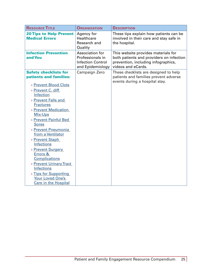| <b>RESOURCE TITLE</b>                                   | <b>ORGANIZATION</b>                                                                 | <b>DESCRIPTION</b>                                                                                                                           |
|---------------------------------------------------------|-------------------------------------------------------------------------------------|----------------------------------------------------------------------------------------------------------------------------------------------|
| <b>20 Tips to Help Prevent</b><br><b>Medical Errors</b> | Agency for<br>Healthcare<br>Research and<br>Quality                                 | These tips explain how patients can be<br>involved in their care and stay safe in<br>the hospital.                                           |
| <b>Infection Prevention</b><br>and You                  | Association for<br>Professionals in<br><b>Infection Control</b><br>and Epidemiology | This website provides materials for<br>both patients and providers on infection<br>prevention, including infographics,<br>videos and eCards. |
| <b>Safety checklists for</b><br>patients and families:  | Campaign Zero                                                                       | These checklists are designed to help<br>patients and families prevent adverse<br>events during a hospital stay.                             |
| » Prevent Blood Clots                                   |                                                                                     |                                                                                                                                              |
| » Prevent C. diff                                       |                                                                                     |                                                                                                                                              |
| Infection                                               |                                                                                     |                                                                                                                                              |
| » Prevent Falls and                                     |                                                                                     |                                                                                                                                              |
| <b>Fractures</b>                                        |                                                                                     |                                                                                                                                              |
| » Prevent Medication                                    |                                                                                     |                                                                                                                                              |
| <b>Mix-Ups</b>                                          |                                                                                     |                                                                                                                                              |
| » Prevent Painful Bed                                   |                                                                                     |                                                                                                                                              |
| <b>Sores</b>                                            |                                                                                     |                                                                                                                                              |
| » Prevent Pneumonia                                     |                                                                                     |                                                                                                                                              |
| from a Ventilator                                       |                                                                                     |                                                                                                                                              |
| » Prevent Staph                                         |                                                                                     |                                                                                                                                              |
| <b>Infections</b>                                       |                                                                                     |                                                                                                                                              |
| » Prevent Surgery                                       |                                                                                     |                                                                                                                                              |
| <b>Errors &amp;</b>                                     |                                                                                     |                                                                                                                                              |
| <b>Complications</b>                                    |                                                                                     |                                                                                                                                              |
| » Prevent Urinary Tract                                 |                                                                                     |                                                                                                                                              |
| <b>Infections</b>                                       |                                                                                     |                                                                                                                                              |
| » Tips for Supporting                                   |                                                                                     |                                                                                                                                              |
| <b>Your Loved One's</b>                                 |                                                                                     |                                                                                                                                              |
| <b>Care in the Hospital</b>                             |                                                                                     |                                                                                                                                              |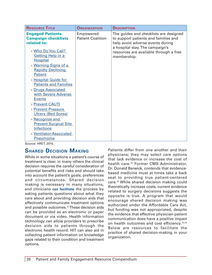<span id="page-25-0"></span>

| <b>Engaged Patients</b>                                                                                                                                                                                                                                                                                                                                                                                                                                            | Empowered                | The guides and checklists are designed                                                                                       |
|--------------------------------------------------------------------------------------------------------------------------------------------------------------------------------------------------------------------------------------------------------------------------------------------------------------------------------------------------------------------------------------------------------------------------------------------------------------------|--------------------------|------------------------------------------------------------------------------------------------------------------------------|
| <b>Campaign checklists</b>                                                                                                                                                                                                                                                                                                                                                                                                                                         | <b>Patient Coalition</b> | to support patients and families and                                                                                         |
| related to:<br>» Who Do You Call?<br><b>Getting Help in a</b><br><b>Hospital</b><br>» Warning Signs of a<br><b>Rapidly Declining</b><br><b>Patient</b><br>» Hospital Guide for<br><b>Patients and Families</b><br>» Drugs Associated<br>with Severe Adverse<br><b>Events</b><br>» Prevent CAUTI<br>» Prevent Pressure<br><b>Ulcers (Bed Sores)</b><br>» Recognize and<br><b>Prevent Surgical Site</b><br><b>Infections</b><br>» Ventilator-Associated<br>Pneumonia |                          | help avoid adverse events during<br>a hospital stay. The campaign's<br>resources are available through a free<br>membership. |

## **Shared Decision Making**

While in some situations a patient's course of treatment is clear, in many others the clinical decision requires the careful consideration of potential benefits and risks and should take into account the patient's goals, preferences and circumstances. Shared decision making is necessary in many situations, and clinicians **can facilitate** the process by asking patients questions about what they care about and providing decision aids that effectively communicate treatment options and possible outcomes.<sup>32</sup> These decision aids can be provided as an electronic or paper document or via video. Health information technology can allow providers to prescribe decision aids to patients through the electronic health record. HIT can also aid in collecting patient information on knowledge gaps related to their condition and treatment options.

Patients differ from one another and their physicians; they may select care options that lack evidence or increase the cost of health care.<sup>33</sup> Former CMS Administrator, Dr. Donald Berwick, contends that evidencebased medicine must at times take a back seat to providing true patient-centered care.34 While shared decision making could theoretically increase costs, current evidence related to surgery decisions suggests the opposite is true. A program that would encourage shared decision making was authorized under the Affordable Care Act, but funding was not appropriated, despite the evidence that effective physician-patient communication does have a positive impact on health outcomes and cost efficiency.<sup>35,36</sup> Below are resources to facilitate the practice of shared decision-making in your organization.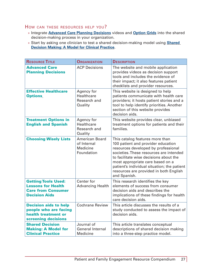- » Integrate **[Advanced Care Planning Decisions](http://www.acpdecisions.org/)** videos and **[Option Grids](http://www.optiongrid.org/)** into the shared decision-making process in your organization.
- » Start by asking one clinician to test a shared decision-making model using **[Shared](http://www.ncbi.nlm.nih.gov/pmc/articles/PMC3445676/)  [Decision Making: A Model for Clinical Practice](http://www.ncbi.nlm.nih.gov/pmc/articles/PMC3445676/)**.

| <b>RESOURCE TITLE</b>                                                                                        | <b>ORGANIZATION</b>                                                   | <b>DESCRIPTION</b>                                                                                                                                                                                                                                                                                                                             |
|--------------------------------------------------------------------------------------------------------------|-----------------------------------------------------------------------|------------------------------------------------------------------------------------------------------------------------------------------------------------------------------------------------------------------------------------------------------------------------------------------------------------------------------------------------|
| <b>Advanced Care</b><br><b>Planning Decisions</b>                                                            | <b>ACP Decisions</b>                                                  | The website and mobile application<br>provides videos as decision support<br>tools and includes the evidence of<br>their impact; it also features patient<br>checklists and provider resources.                                                                                                                                                |
| <b>Effective Healthcare</b><br><b>Options</b>                                                                | Agency for<br>Healthcare<br>Research and<br>Quality                   | This website is designed to help<br>patients communicate with health care<br>providers; it hosts patient stories and a<br>tool to help identify priorities. Another<br>section of this website provides<br>decision aids.                                                                                                                      |
| <b>Treatment Options in</b><br><b>English and Spanish</b>                                                    | Agency for<br><b>Healthcare</b><br>Research and<br>Quality            | This website provides clear, unbiased<br>treatment options for patients and their<br>families.                                                                                                                                                                                                                                                 |
| <b>Choosing Wisely Lists</b>                                                                                 | <b>American Board</b><br>of Internal<br><b>Medicine</b><br>Foundation | This catalog features more than<br>100 patient and provider education<br>resources developed by professional<br>societies. These resources are intended<br>to facilitate wise decisions about the<br>most appropriate care based on a<br>patient's individual situation; the patient<br>resources are provided in both English<br>and Spanish. |
| <b>Getting Tools Used:</b><br><b>Lessons for Health</b><br><b>Care from Consumer</b><br><b>Decision Aids</b> | Center for<br><b>Advancing Health</b>                                 | This research identifies the key<br>elements of success from consumer<br>decision aids and describes the<br>implications of these findings for health<br>care decision aids.                                                                                                                                                                   |
| <b>Decision aids to help</b><br>people who are facing<br>health treatment or<br>screening decisions          | <b>Cochrane Review</b>                                                | This article discusses the results of a<br>study conducted to assess the impact of<br>decision aids.                                                                                                                                                                                                                                           |
| <b>Shared Decision</b><br><b>Making: A Model for</b><br><b>Clinical Practice</b>                             | Journal of<br><b>General Internal</b><br><b>Medicine</b>              | This article translates conceptual<br>descriptions of shared decision making<br>into a three-step practice model.                                                                                                                                                                                                                              |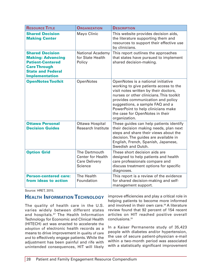| <b>RESOURCE TITLE</b>                                                                                                                                     | <b>ORGANIZATION</b>                                                          | <b>DESCRIPTION</b>                                                                                                                                                                                                                                                                                                                  |
|-----------------------------------------------------------------------------------------------------------------------------------------------------------|------------------------------------------------------------------------------|-------------------------------------------------------------------------------------------------------------------------------------------------------------------------------------------------------------------------------------------------------------------------------------------------------------------------------------|
| <b>Shared Decision</b><br><b>Making Center</b>                                                                                                            | Mayo Clinic                                                                  | This website provides decision aids,<br>the literature supporting them and<br>resources to support their effective use<br>by clinicians.                                                                                                                                                                                            |
| <b>Shared Decision</b><br><b>Making: Advancing</b><br><b>Patient-Centered</b><br><b>Care Through</b><br><b>State and Federal</b><br><b>Implementation</b> | <b>National Academy</b><br>for State Health<br>Policy                        | This report outlines the approaches<br>that states have pursued to implement<br>shared decision-making.                                                                                                                                                                                                                             |
| <b>OpenNotes Toolkit</b>                                                                                                                                  | <b>OpenNotes</b>                                                             | OpenNotes is a national initiative<br>working to give patients access to the<br>visit notes written by their doctors,<br>nurses or other clinicians. This toolkit<br>provides communication and policy<br>suggestions, a sample FAQ and a<br>PowerPoint to help clinicians make<br>the case for OpenNotes in their<br>organization. |
| <b>Ottawa Personal</b><br><b>Decision Guides</b>                                                                                                          | Ottawa Hospital<br><b>Research Institute</b>                                 | These guides can help patients identify<br>their decision making needs, plan next<br>steps and share their views about the<br>decision. The guides are available in<br>English, French, Spanish, Japanese,<br>Swedish and Dutch.                                                                                                    |
| <b>Option Grid</b>                                                                                                                                        | The Dartmouth<br><b>Center for Health</b><br><b>Care Delivery</b><br>Science | These short decision aids are<br>designed to help patients and health<br>care professionals compare and<br>discuss treatment options for specific<br>diagnoses.                                                                                                                                                                     |
| <b>Person-centered care:</b><br>from ideas to action                                                                                                      | The Health<br>Foundation                                                     | This report is a review of the evidence<br>for shared decision-making and self-<br>management support.                                                                                                                                                                                                                              |

## **Health Information Technology**

The quality of health care in the U.S. varies widely between different states and hospitals.37 The Health Information Technology for Economic and Clinical Health (HITECH) act was enacted to accelerate the adoption of electronic health records as a means to drive improvement in quality of care and to effectively engage patients. While the adjustment has been painful and rife with unintended consequences, HIT will likely improve efficiencies and play a critical role in helping patients to become more informed and involved in their own care.<sup>38</sup> A literature review found that 92 percent of 154 recent articles on HIT reached positive overall conclusions.<sup>39</sup>

In a Kaiser Permanente study of 35,423 people with diabetes and/or hypertension, the use of secure patient-physician e-mail within a two-month period was associated with a statistically significant improvement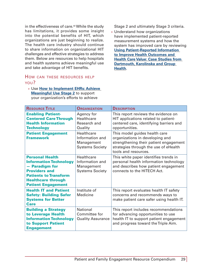in the effectiveness of care.<sup>40</sup> While the study has limitations, it provides some insight into the potential benefits of HIT, which organizations are just beginning to realize. The health care industry should continue to share information on organizational HIT challenges and effective strategies to address them. Below are resources to help hospitals and health systems achieve meaningful use and take advantage of HIT benefits.

#### How can these resources help

#### you?

#### » Use **[How to Implement EHRs: Achieve](http://www.healthit.gov/providers-professionals/step-5-achieve-meaningful-use-stage-2)  [Meaningful Use Stage 2](http://www.healthit.gov/providers-professionals/step-5-achieve-meaningful-use-stage-2)** to support your organization's efforts to achieve

Stage 2 and ultimately Stage 3 criteria.

» Understand how organizations have implemented patient-reported measurement systems and how the system has improved care by reviewing **[Using Patient-Reported Information](http://tdi.dartmouth.edu/images/uploads/tdi_tr_pri_ia_sm.pdf)  [to Improve Health Outcomes and](http://tdi.dartmouth.edu/images/uploads/tdi_tr_pri_ia_sm.pdf)  [Health Care Value: Case Studies from](http://tdi.dartmouth.edu/images/uploads/tdi_tr_pri_ia_sm.pdf)  [Dartmouth, Karolinska and Group](http://tdi.dartmouth.edu/images/uploads/tdi_tr_pri_ia_sm.pdf)  [Health](http://tdi.dartmouth.edu/images/uploads/tdi_tr_pri_ia_sm.pdf)**.

| <b>RESOURCE TITLE</b>                                                                                                                                                                            | <b>ORGANIZATION</b>                                                   | <b>DESCRIPTION</b>                                                                                                                                                          |
|--------------------------------------------------------------------------------------------------------------------------------------------------------------------------------------------------|-----------------------------------------------------------------------|-----------------------------------------------------------------------------------------------------------------------------------------------------------------------------|
| <b>Enabling Patient-</b><br><b>Centered Care Through</b><br><b>Health Information</b><br><b>Technology</b>                                                                                       | Agency for<br>Healthcare<br>Research and<br>Quality                   | This report reviews the evidence on<br>HIT applications related to patient-<br>centered care, identifying barriers and<br>opportunities.                                    |
| <b>Patient Engagement</b><br><b>Framework</b>                                                                                                                                                    | Healthcare<br>Information and<br>Management<br><b>Systems Society</b> | This model guides health care<br>organizations in developing and<br>strengthening their patient engagement<br>strategies through the use of eHealth<br>tools and resources. |
| <b>Personal Health</b><br><b>Information Technology</b><br><b>Paradigm for</b><br><b>Providers and</b><br><b>Patients to Transform</b><br><b>Healthcare through</b><br><b>Patient Engagement</b> | Healthcare<br>Information and<br>Management<br><b>Systems Society</b> | This white paper identifies trends in<br>personal health information technology<br>and describes how patient engagement<br>connects to the HITECH Act.                      |
| <b>Health IT and Patient</b><br><b>Safety: Building Safer</b><br><b>Systems for Better</b><br><b>Care</b>                                                                                        | Institute of<br><b>Medicine</b>                                       | This report evaluates health IT safety<br>concerns and recommends ways to<br>make patient care safer using health IT.                                                       |
| <b>Building a Strategy</b><br>to Leverage Health<br><b>Information Technology</b><br>to Support Patient<br><b>Engagement</b>                                                                     | <b>National</b><br>Committee for<br><b>Quality Assurance</b>          | This report includes recommendations<br>for advancing opportunities to use<br>health IT to support patient engagement<br>and progress toward the Triple Aim.                |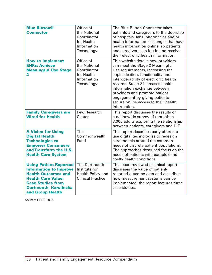| <b>Blue Button®</b><br><b>Connector</b>                                                                                                                                                                   | Office of<br>the National<br>Coordinator<br>for Health<br>Information<br>Technology | The Blue Button Connector takes<br>patients and caregivers to the doorstep<br>of hospitals, labs, pharmacies and/or<br>health information exchanges that have<br>health information online, so patients<br>and caregivers can log-in and receive<br>their electronic health information.                                                                                               |
|-----------------------------------------------------------------------------------------------------------------------------------------------------------------------------------------------------------|-------------------------------------------------------------------------------------|----------------------------------------------------------------------------------------------------------------------------------------------------------------------------------------------------------------------------------------------------------------------------------------------------------------------------------------------------------------------------------------|
| <b>How to Implement</b><br><b>EHRs: Achieve</b><br><b>Meaningful Use Stage</b><br>2                                                                                                                       | Office of<br>the National<br>Coordinator<br>for Health<br>Information<br>Technology | This website details how providers<br>can meet the Stage 2 Meaningful<br>Use requirements, increasing the<br>sophistication, functionality and<br>interoperability of electronic health<br>records. Stage 2 increases health<br>information exchange between<br>providers and promote patient<br>engagement by giving patients<br>secure online access to their health<br>information. |
| <b>Family Caregivers are</b><br><b>Wired for Health</b>                                                                                                                                                   | Pew Research<br>Center                                                              | This report discusses the results of<br>a nationwide survey of more than<br>3,000 adults exploring the relationship<br>between patients, caregivers and HIT.                                                                                                                                                                                                                           |
| <b>A Vision for Using</b><br><b>Digital Health</b><br><b>Technologies to</b><br><b>Empower Consumers</b><br>and Transform the U.S.<br><b>Health Care System</b>                                           | The<br>Commonwealth<br>Fund                                                         | This report describes early efforts to<br>use digital technologies to redesign<br>care models around the common<br>needs of discrete patient populations.<br>The approaches described focus on the<br>needs of patients with complex and<br>costly health conditions.                                                                                                                  |
| <b>Using Patient-Reported</b><br><b>Information to Improve</b><br><b>Health Outcomes and</b><br><b>Health Care Value:</b><br><b>Case Studies from</b><br><b>Dartmouth, Karolinska</b><br>and Group Health | The Dartmouth<br>Institute for<br>Health Policy and<br><b>Clinical Practice</b>     | This peer- reviewed technical report<br>discusses the value of patient-<br>reported outcome data and describes<br>how measurement systems can be<br>implemented; the report features three<br>case studies.                                                                                                                                                                            |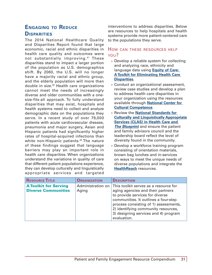## <span id="page-30-0"></span>**Engaging to Reduce Disparities**

The 2014 National Healthcare Quality and Disparities Report found that large economic, racial and ethnic disparities in health care quality and outcomes were not substantially improving. 41 These disparities stand to impact a larger portion of the population as U.S. demographics shift. By 2060, the U.S. will no longer have a majority racial and ethnic group, and the elderly population will more than double in size.42 Health care organizations cannot meet the needs of increasingly diverse and older communities with a onesize-fits-all approach. To fully understand disparities that may exist, hospitals and health systems need to collect and analyze demographic data on the populations they serve. In a recent study of over 79,000 patients with acute cardiovascular disease, pneumonia and major surgery, Asian and Hispanic patients had significantly higher rates of hospital-acquired infections than white non-Hispanic patients.<sup>43</sup> The nature of these findings suggest that language barriers may play an important role in health care disparities. When organizations understand the variations in quality of care that different patient populations experience, they can develop culturally and linguistically appropriate services and targeted

interventions to address disparities. Below are resources to help hospitals and health systems provide more patient-centered care to the populations they serve.

- » Develop a reliable system for collecting and analyzing race, ethnicity and language data using **[Equity of Care:](http://www.hpoe.org/resources/hpoehretaha-guides/1788)  [A Toolkit for Eliminating Health Care](http://www.hpoe.org/resources/hpoehretaha-guides/1788)  [Disparities](http://www.hpoe.org/resources/hpoehretaha-guides/1788)**.
- » Conduct an organizational assessment, review case studies and develop a plan to address health care disparities in your organization using the resources available through **[National Center for](http://nccc.georgetown.edu/)  [Cultural Competence](http://nccc.georgetown.edu/)**.
- » Review the **[National Standards for](https://www.thinkculturalhealth.hhs.gov/content/clas.asp)  [Culturally and Linguistically Appropriate](https://www.thinkculturalhealth.hhs.gov/content/clas.asp)  [Services \(CLAS\) in Health Care and](https://www.thinkculturalhealth.hhs.gov/content/clas.asp)**  *[The Blueprint](https://www.thinkculturalhealth.hhs.gov/content/clas.asp)* and ensure the patient and family advisors council and the leadership board reflect the level of diversity found in the community.
- » Develop a workforce training program consisting of orientation materials, brown bag lunches and in-services on ways to meet the unique needs of diverse populations and integrate the **[HealthReach](https://healthreach.nlm.nih.gov/)** resources.

| <b>RESOURCE TITLE</b>                                      | <b>ORGANIZATION</b>        | <b>DESCRIPTION</b>                                                                                                                                                                                                                                                                           |
|------------------------------------------------------------|----------------------------|----------------------------------------------------------------------------------------------------------------------------------------------------------------------------------------------------------------------------------------------------------------------------------------------|
| <b>A Toolkit for Serving</b><br><b>Diverse Communities</b> | Administration on<br>Aging | This toolkit serves as a resource for<br>aging agencies and their partners<br>to provide services for diverse<br>communities. It outlines a four-step<br>process consisting of 1) assessments,<br>2) identifying community resources,<br>3) designing services and 4) program<br>evaluation. |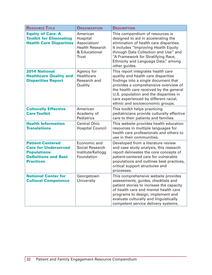| <b>RESOURCE TITLE</b>                                                                                                            | <b>ORGANIZATION</b>                                                                             | <b>DESCRIPTION</b>                                                                                                                                                                                                                                                                                                          |
|----------------------------------------------------------------------------------------------------------------------------------|-------------------------------------------------------------------------------------------------|-----------------------------------------------------------------------------------------------------------------------------------------------------------------------------------------------------------------------------------------------------------------------------------------------------------------------------|
| <b>Equity of Care: A</b><br><b>Toolkit for Eliminating</b><br><b>Health Care Disparities</b>                                     | American<br>Hospital<br>Association/<br><b>Health Research</b><br>& Educational<br><b>Trust</b> | This compendium of resources is<br>designed to aid in accelerating the<br>elimination of health care disparities.<br>It includes "Improving Health Equity<br>through Data Collection and Use" and<br>"A Framework for Stratifying Race,<br>Ethnicity and Language Data," among<br>other guides.                             |
| <b>2014 National</b><br><b>Healthcare Quality and</b><br><b>Disparities Report</b>                                               | Agency for<br>Healthcare<br>Research and<br>Quality                                             | This report integrates health care<br>quality and health care disparities<br>findings into a single document that<br>provides a comprehensive overview of<br>the health care received by the general<br>U.S. population and the disparities in<br>care experienced by different racial,<br>ethnic and socioeconomic groups. |
| <b>Culturally Effective</b><br><b>Care Toolkit</b>                                                                               | American<br>Academy of<br><b>Pediatrics</b>                                                     | This toolkit helps practicing<br>pediatricians provide culturally effective<br>care to their patients and families.                                                                                                                                                                                                         |
| <b>Health Information</b><br><b>Translations</b>                                                                                 | <b>Central Ohio</b><br><b>Hospital Council</b>                                                  | This website provides health education<br>resources in multiple languages for<br>health care professionals and others to<br>use in their communities.                                                                                                                                                                       |
| <b>Patient-Centered</b><br><b>Care for Underserved</b><br><b>Populations:</b><br><b>Definitions and Best</b><br><b>Practices</b> | Economic and<br>Social Research<br>Institute/Kellogg<br>Foundation                              | Developed from a literature review<br>and case study analysis, this research<br>report delineates the core concepts of<br>patient-centered care for vulnerable<br>populations and outlines best practices,<br>critical support structures and<br>processes.                                                                 |
| <b>National Center for</b><br><b>Cultural Competence</b>                                                                         | Georgetown<br>University                                                                        | This comprehensive website provides<br>assessments, guides, checklists and<br>patient stories to increase the capacity<br>of health care and mental health care<br>programs to design, implement and<br>evaluate culturally and linguistically<br>competent service delivery systems.                                       |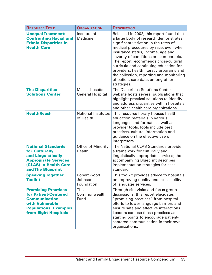| <b>RESOURCE TITLE</b>                                                                                                                                               | <b>ORGANIZATION</b>                             | <b>DESCRIPTION</b>                                                                                                                                                                                                                                                                                                                                                                                                                                                              |
|---------------------------------------------------------------------------------------------------------------------------------------------------------------------|-------------------------------------------------|---------------------------------------------------------------------------------------------------------------------------------------------------------------------------------------------------------------------------------------------------------------------------------------------------------------------------------------------------------------------------------------------------------------------------------------------------------------------------------|
| <b>Unequal Treatment:</b><br><b>Confronting Racial and</b><br><b>Ethnic Disparities in</b><br><b>Health Care</b>                                                    | Institute of<br>Medicine                        | Released in 2002, this report found that<br>a large body of research demonstrates<br>significant variation in the rates of<br>medical procedures by race, even when<br>insurance status, income, age and<br>severity of conditions are comparable.<br>The report recommends cross-cultural<br>curricula and continuing education for<br>providers, health literacy programs and<br>the collection, reporting and monitoring<br>of patient care data, among other<br>strategies. |
| <b>The Disparities</b><br><b>Solutions Center</b>                                                                                                                   | <b>Massachusetts</b><br><b>General Hospital</b> | The Disparities Solutions Center<br>website hosts several publications that<br>highlight practical solutions to identify<br>and address disparities within hospitals<br>and other health care organizations.                                                                                                                                                                                                                                                                    |
| <b>HealthReach</b>                                                                                                                                                  | <b>National Institutes</b><br>of Health         | This resource library houses health<br>education materials in various<br>languages and formats as well as<br>provider tools. Tools include best<br>practices, cultural information and<br>guidance on the effective use of<br>interpreters.                                                                                                                                                                                                                                     |
| <b>National Standards</b><br>for Culturally<br>and Linguistically<br><b>Appropriate Services</b><br>(CLAS) in Health Care<br>and The Blueprint                      | <b>Office of Minority</b><br>Health             | The National CLAS Standards provide<br>a framework for culturally and<br>linguistically appropriate services; the<br>accompanying Blueprint describes<br>implementation strategies for each<br>standard.                                                                                                                                                                                                                                                                        |
| <b>Speaking Together</b><br><b>Toolkit</b>                                                                                                                          | <b>Robert Wood</b><br>Johnson<br>Foundation     | This toolkit provides advice to hospitals<br>on improving quality and accessibility<br>of language services.                                                                                                                                                                                                                                                                                                                                                                    |
| <b>Promising Practices</b><br><b>for Patient-Centered</b><br><b>Communication</b><br>with Vulnerable<br><b>Populations: Examples</b><br><b>from Eight Hospitals</b> | The<br>Commonwealth<br>Fund                     | Through site visits and focus group<br>discussions, this report elucidates<br>"promising practices" from hospital<br>efforts to lower language barriers and<br>ensure safe and effective interactions.<br>Leaders can use these practices as<br>starting points to encourage patient-<br>centered communication in their own<br>organizations.                                                                                                                                  |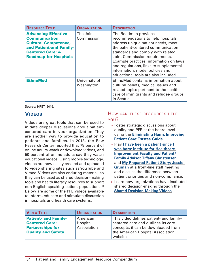| <b>RESOURCE TITLE</b>                                                                                                                                                    | <b>ORGANIZATION</b>         | <b>DESCRIPTION</b>                                                                                                                                                                                                                                                                                                                                                          |
|--------------------------------------------------------------------------------------------------------------------------------------------------------------------------|-----------------------------|-----------------------------------------------------------------------------------------------------------------------------------------------------------------------------------------------------------------------------------------------------------------------------------------------------------------------------------------------------------------------------|
| <b>Advancing Effective</b><br><b>Communication,</b><br><b>Cultural Competence,</b><br>and Patient-and Family-<br><b>Centered Care: A</b><br><b>Roadmap for Hospitals</b> | The Joint<br>Commission     | The Roadmap provides<br>recommendations to help hospitals<br>address unique patient needs, meet<br>the patient-centered communication<br>standards and comply with related<br>Joint Commission requirements.<br>Example practices, information on laws<br>and regulations, links to supplemental<br>information, model policies and<br>educational tools are also included. |
| <b>EthnoMed</b>                                                                                                                                                          | University of<br>Washington | EthnoMed contains information about<br>cultural beliefs, medical issues and<br>related topics pertinent to the health<br>care of immigrants and refugee groups<br>in Seattle.                                                                                                                                                                                               |

## **Videos**

Videos are great tools that can be used to initiate deeper discussions about patientcentered care in your organization. They are another way to provide education to patients and families. In 2013, the Pew Research Center reported that 78 percent of online adults watch or download videos, and 50 percent of online adults say they watch educational videos. Using mobile technology, videos are now easily created and uploaded to video sharing sites such as YouTube and Vimeo. Videos are also enduring material, so they can be used as shared decision-making tools and health literacy resources to support non-English speaking patient populations.<sup>44</sup> Below are some of the PFE videos available to inform, educate and stimulate discussion in hospitals and health care systems.

- » Foster strategic discussions about quality and PFE at the board level using the **E[liminating Harm, Improving](http://www.hret-hen.org/?option=com_phocadownload&view=category&id=346&Itemid=352)  [Patient Care: Trustee Guide](http://www.hret-hen.org/?option=com_phocadownload&view=category&id=346&Itemid=352)**.
- » Play **[I have been a patient since I](https://www.youtube.com/watch?v=TipFfR1drTg)  [was born: Institute for Healthcare](https://www.youtube.com/watch?v=TipFfR1drTg)  [Improvement Faculty and Patient/](https://www.youtube.com/watch?v=TipFfR1drTg) [Family Advisor, Tiffany Christensen](https://www.youtube.com/watch?v=TipFfR1drTg)** and **[My Prepared Patient Story: Jessie](https://www.youtube.com/watch?v=Y8N4bLaXU0w)  [Gruman](https://www.youtube.com/watch?v=Y8N4bLaXU0w)** at a front-line staff meeting and discuss the difference between patient priorities and non-compliance.
- » Learn how organizations have instituted shared decision-making through the **[Shared Decision-Making Videos](https://www.youtube.com/channel/UCo0qAVUWPV0B9mRjbxSgIFg)**.

| <b>VIDEO TITLE</b>                                   | <b>ORGANIZATION</b>                 | <b>DESCRIPTION</b>                                                                   |
|------------------------------------------------------|-------------------------------------|--------------------------------------------------------------------------------------|
| <b>Patient- and Family-</b><br><b>Centered Care:</b> | American<br>Hospital<br>Association | This video defines patient- and family-<br>centered care and outlines its core       |
| <b>Partnerships for</b><br>Quality and Safety        |                                     | concepts; it can be downloaded from<br>the American Hospital Association<br>website. |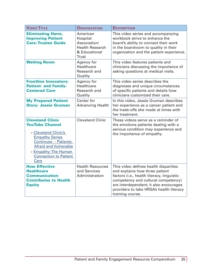| <b>VIDEO TITLE</b>                                                                                                                                                                                                                  | <b>ORGANIZATION</b>                                                                             | <b>DESCRIPTION</b>                                                                                                                                                                                                                                                     |
|-------------------------------------------------------------------------------------------------------------------------------------------------------------------------------------------------------------------------------------|-------------------------------------------------------------------------------------------------|------------------------------------------------------------------------------------------------------------------------------------------------------------------------------------------------------------------------------------------------------------------------|
| <b>Eliminating Harm,</b><br><b>Improving Patient</b><br><b>Care: Trustee Guide</b>                                                                                                                                                  | American<br>Hospital<br>Association/<br><b>Health Research</b><br>& Educational<br><b>Trust</b> | This video series and accompanying<br>workbook strive to enhance the<br>board's ability to connect their work<br>in the boardroom to quality in their<br>organization and the patient experience.                                                                      |
| <b>Waiting Room</b>                                                                                                                                                                                                                 | Agency for<br><b>Healthcare</b><br>Research and<br>Quality                                      | This video features patients and<br>clinicians discussing the importance of<br>asking questions at medical visits.                                                                                                                                                     |
| <b>Frontline Innovators:</b><br><b>Patient- and Family-</b><br><b>Centered Care</b>                                                                                                                                                 | Agency for<br>Healthcare<br>Research and<br>Quality                                             | This video series describes the<br>diagnoses and unique circumstances<br>of specific patients and details how<br>clinicians customized their care.                                                                                                                     |
| <b>My Prepared Patient</b><br><b>Story: Jessie Gruman</b>                                                                                                                                                                           | Center for<br><b>Advancing Health</b>                                                           | In this video, Jessie Gruman describes<br>her experience as a cancer patient and<br>the trade-offs she made at times with<br>her treatment.                                                                                                                            |
| <b>Cleveland Clinic</b><br><b>YouTube Channel</b><br>» Cleveland Clinic's<br><b>Empathy Series</b><br><b>Continues -- Patients:</b><br><b>Afraid and Vulnerable</b><br>» Empathy: The Human<br><b>Connection to Patient</b><br>Care | <b>Cleveland Clinic</b>                                                                         | These videos serve as a reminder of<br>the emotions patients dealing with a<br>serious condition may experience and<br>the importance of empathy.                                                                                                                      |
| <b>How Effective</b><br><b>Healthcare</b><br><b>Communication</b><br><b>Contributes to Health</b><br><b>Equity</b>                                                                                                                  | <b>Health Resources</b><br>and Services<br>Administration                                       | This video defines health disparities<br>and explains how three patient<br>factors (i.e., health literacy, linguistic<br>competency and cultural competency)<br>are interdependent; it also encourages<br>providers to take HRSA's health literacy<br>training course. |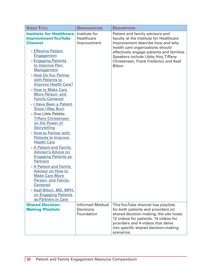| <b>VIDEO TITLE</b>                                                                                                                                                                                                                                                                                                                                                                                                                                                                                                                                                                                                                                                              | <b>ORGANIZATION</b>                                       | <b>DESCRIPTION</b>                                                                                                                                                                                                                                                                               |
|---------------------------------------------------------------------------------------------------------------------------------------------------------------------------------------------------------------------------------------------------------------------------------------------------------------------------------------------------------------------------------------------------------------------------------------------------------------------------------------------------------------------------------------------------------------------------------------------------------------------------------------------------------------------------------|-----------------------------------------------------------|--------------------------------------------------------------------------------------------------------------------------------------------------------------------------------------------------------------------------------------------------------------------------------------------------|
| <b>Institute for Healthcare</b><br><b>Improvement YouTube</b><br><b>Channel</b><br>» Effective Patient<br><b>Engagement</b><br>» Engaging Patients<br>to Improve Pain<br><b>Management</b><br>» How Do You Partner<br>with Patients to<br><b>Improve Health Care?</b><br>» How to Make Care<br>More Person- and<br><b>Family-Centered</b><br>» I Have Been a Patient<br><b>Since I Was Born</b><br>» One Little Pebble:<br><b>Tiffany Christensen</b><br>on the Power of<br>Storytelling<br>» How to Partner with<br><b>Patients to Improve</b><br><b>Health Care</b><br>» A Patient and Family<br><b>Advisor's Advice on</b><br><b>Engaging Patients as</b><br><b>Partners</b> | Institute for<br>Healthcare<br>Improvement                | Patient and family advisors and<br>faculty at the Institute for Healthcare<br>Improvement describe how and why<br>health care organizations should<br>effectively engage patients and families.<br>Speakers include Libby Hoy, Tiffany<br>Christensen, Frank Frederico and Asaf<br><b>Bitton</b> |
| » A Patient and Family<br><b>Advisor on How to</b><br><b>Make Care More</b><br>Person- and Family-<br><b>Centered</b><br>» Asaf Bitton, MD, MPH,<br>on Engaging Patients<br>as Partners in Care                                                                                                                                                                                                                                                                                                                                                                                                                                                                                 |                                                           |                                                                                                                                                                                                                                                                                                  |
| <b>Shared Decision-</b><br><b>Making Playlists</b>                                                                                                                                                                                                                                                                                                                                                                                                                                                                                                                                                                                                                              | <b>Informed Medical</b><br><b>Decisions</b><br>Foundation | This YouTube channel has playlists<br>for both patients and providers on<br>shared decision-making; the site hosts<br>12 videos for patients, 14 videos for<br>providers and 4 videos that delve<br>into specific shared decision-making<br>scenarios.                                           |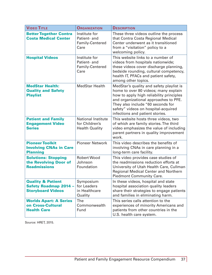| <b>VIDEO TITLE</b>                                                                       | <b>ORGANIZATION</b>                                                  | <b>DESCRIPTION</b>                                                                                                                                                                                                                                                                   |
|------------------------------------------------------------------------------------------|----------------------------------------------------------------------|--------------------------------------------------------------------------------------------------------------------------------------------------------------------------------------------------------------------------------------------------------------------------------------|
| <b>Better Together Contra</b><br><b>Costa Medical Center</b>                             | Institute for<br>Patient- and<br>Family-Centered<br>Care             | These three videos outline the process<br>that Contra Costa Regional Medical<br>Center underwent as it transitioned<br>from a "visitation" policy to a<br>welcoming policy.                                                                                                          |
| <b>Hospital Videos</b>                                                                   | Institute for<br>Patient- and<br>Family-Centered<br>Care             | This website links to a number of<br>videos from hospitals nationwide;<br>these videos cover discharge planning,<br>bedside rounding, cultural competency,<br>health IT, PFACs and patient safety,<br>among other topics.                                                            |
| <b>MedStar Health:</b><br><b>Quality and Safety</b><br><b>Playlist</b>                   | <b>MedStar Health</b>                                                | MedStar's quality and safety playlist is<br>home to over 80 videos; many explain<br>how to apply high reliability principles<br>and organizational approaches to PFE.<br>They also include "60 seconds for<br>safety" videos on hospital-acquired<br>infections and patient stories. |
| <b>Patient and Family</b><br><b>Engagement Video</b><br><b>Series</b>                    | <b>National Institute</b><br>for Children's<br><b>Health Quality</b> | This website hosts three videos, two<br>of which are family stories. The third<br>video emphasizes the value of including<br>parent partners in quality improvement<br>work.                                                                                                         |
| <b>Pioneer Toolkit</b><br><b>Involving CNAs in Care</b><br><b>Planning</b>               | <b>Pioneer Network</b>                                               | This video describes the benefits of<br>involving CNAs in care planning in a<br>long-term care facility.                                                                                                                                                                             |
| <b>Solutions: Stopping</b><br>the Revolving Door of<br><b>Readmissions</b>               | <b>Robert Wood</b><br>Johnson<br>Foundation                          | This video provides case studies of<br>the readmissions reduction efforts at<br>University of Utah Health Care, Cullman<br><b>Regional Medical Center and Northern</b><br><b>Piedmont Community Care.</b>                                                                            |
| <b>Quality &amp; Patient</b><br><b>Safety Roadmap 2014 -</b><br><b>Storyboard Videos</b> | Symposium<br>for Leaders<br>in Healthcare<br>Quality                 | In these videos, hospital and state<br>hospital association quality leaders<br>share their strategies to engage patients<br>and families in eliminating harm.                                                                                                                        |
| <b>Worlds Apart: A Series</b><br>on Cross-Cultural<br><b>Health Care</b>                 | <b>The</b><br>Commonwealth<br>Fund                                   | This series calls attention to the<br>experiences of minority Americans and<br>patients from other countries in the<br>U.S. health care system.                                                                                                                                      |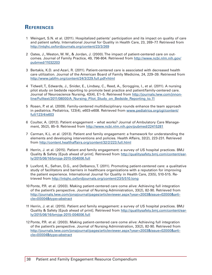## <span id="page-37-0"></span>**References**

- 1 Weingart, S.N. et al. (2011). Hospitalized patients' participation and its impact on quality of care and patient safety. International Journal for Quality in Health Care, 23, 269–77. Retrieved from <http://intqhc.oxfordjournals.org/content/23/3/269>
- 2 Oates, J., Weston, W. W., & Jordan, J. (2000). The impact of patient-centered care on outcomes. Journal of Family Practice, 49, 796-804. Retrieved from [http://www.ncbi.nlm.nih.gov/](http://www.ncbi.nlm.nih.gov/pubmed/11032203) [pubmed/11032203](http://www.ncbi.nlm.nih.gov/pubmed/11032203)
- 3 Bertakis, K.D. and Azari, R. (2011). Patient-centered care is associated with decreased health care utilization. Journal of the American Board of Family Medicine, 24, 229–39. Retrieved from [http://www.jabfm.org/content/24/3/229.full.pdf+](http://www.jabfm.org/content/24/3/229.full.pdf)html
- 4 Tidwell, T., Edwards, J., Snider, E., Lindsey, C., Reed, A., Scroggins, I., et al. (2011). A nursing pilot study on bedside reporting to promote best practice and patient/family-centered care. Journal of Neuroscience Nursing, 43(4), E1–5. Retrieved from [http://journals.lww.com/jnnon](http://journals.lww.com/jnnonline/Fulltext/2011/08000/A_Nursing_Pilot_Study_on_Bedside_Reporting_to.11)[line/Fulltext/2011/08000/A\\_Nursing\\_Pilot\\_Study\\_on\\_Bedside\\_Reporting\\_to.11](http://journals.lww.com/jnnonline/Fulltext/2011/08000/A_Nursing_Pilot_Study_on_Bedside_Reporting_to.11)
- 5 Rosen, P. et al. (2009). Family-centered multidisciplinary rounds enhance the team approach in pediatrics. Pediatrics, 123(4), e603-e608. Retrieved from [www.pediatrics.org/cgi/content/](www.pediatrics.org/cgi/content/full/123/4/e603) [full/](www.pediatrics.org/cgi/content/full/123/4/e603)123/4/e603
- 6 Coulter, A. (2012). Patient engagement what works? Journal of Ambulatory Care Management, 35(2), 85–9. Retrieved from <http://www.ncbi.nlm.nih.gov/pubmed/22415281>
- 7 Carman, K.L. et al. (2013). Patient and family engagement: a framework for understanding the elements and developing interventions and policies. Health Affairs, 32(2), 223-231. Retrieved from <http://content.healthaffairs.org/content/32/2/223.full.html>
- 8 Herrin, J. et al. (2015). Patient and family engagement: a survey of US hospital practices. BMJ Quality & Safety [Epub ahead of print]. Retrieved from [http://qualitysafety.bmj.com/content/ear](http://qualitysafety.bmj.com/content/early/2015/06/16/bmjqs-2015-004006.full)[ly/2015/06/16/bmjqs-2015-004006.full](http://qualitysafety.bmj.com/content/early/2015/06/16/bmjqs-2015-004006.full)
- 9 Luxford, K., Safran, D.G., and Delbanco, T. (2011). Promoting patient-centered care: a qualitative study of facilitators and barriers in healthcare organizations with a reputation for improving the patient experience. International Journal for Quality in Health Care, 23(5), 510-515. Retrieved from <http://intqhc.oxfordjournals.org/content/23/5/510.long>
- 10 Ponte, P.R. et al. (2003). Making patient-centered care come alive: Achieving full integration of the patient's perspective. Journal of Nursing Administration, 33(2), 82-90. Retrieved from [http://journals.lww.com/jonajournal/pages/articleviewer.aspx?year=2003&issue=02000&arti](http://journals.lww.com/jonajournal/pages/articleviewer.aspx?year=2003&issue=02000&article=00004&type=abstract)[cle=00004&type=abstract](http://journals.lww.com/jonajournal/pages/articleviewer.aspx?year=2003&issue=02000&article=00004&type=abstract)
- 11 Herrin, J. et al. (2015). Patient and family engagement: a survey of US hospital practices. BMJ Quality & Safety [Epub ahead of print]. Retrieved from [http://qualitysafety.bmj.com/content/ear](http://qualitysafety.bmj.com/content/early/2015/06/16/bmjqs-2015-004006.full)[ly/2015/06/16/bmjqs-2015-004006.full](http://qualitysafety.bmj.com/content/early/2015/06/16/bmjqs-2015-004006.full)
- 12 Ponte, P.R. et al. (2003). Making patient-centered care come alive: Achieving full integration of the patient's perspective. Journal of Nursing Administration, 33(2), 82-90. Retrieved from [http://journals.lww.com/jonajournal/pages/articleviewer.aspx?year=2003&issue=02000&arti](http://journals.lww.com/jonajournal/pages/articleviewer.aspx?year=2003&issue=02000&article=00004&type=abstract)[cle=00004&type=abstract](http://journals.lww.com/jonajournal/pages/articleviewer.aspx?year=2003&issue=02000&article=00004&type=abstract)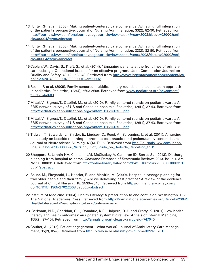- 13 Ponte, P.R. et al. (2003). Making patient-centered care come alive: Achieving full integration of the patient's perspective. Journal of Nursing Administration, 33(2), 82-90. Retrieved from [http://journals.lww.com/jonajournal/pages/articleviewer.aspx?year=2003&issue=02000&arti](http://journals.lww.com/jonajournal/pages/articleviewer.aspx?year=2003&issue=02000&article=00004&type=abstract)[cle=00004&type=abstract](http://journals.lww.com/jonajournal/pages/articleviewer.aspx?year=2003&issue=02000&article=00004&type=abstract)
- 14 Ponte, P.R. et al. (2003). Making patient-centered care come alive: Achieving full integration of the patient's perspective. Journal of Nursing Administration, 33(2), 82-90. Retrieved from [http://journals.lww.com/jonajournal/pages/articleviewer.aspx?year=2003&issue=02000&arti](http://journals.lww.com/jonajournal/pages/articleviewer.aspx?year=2003&issue=02000&article=00004&type=abstract)[cle=00004&type=abstract](http://journals.lww.com/jonajournal/pages/articleviewer.aspx?year=2003&issue=02000&article=00004&type=abstract)
- 15 Caplan, W., Davis, S., Kraft, S., et al. (2014). "Engaging patients at the front lines of primary care redesign: Operational lessons for an effective program." Joint Commission Journal on Quality and Safety, 40(12), 533-48. Retrieved from [http://www.ingentaconnect.com/content/jca](http://www.ingentaconnect.com/content/jcaho/jcjqs/2014/00000040/00000012/art00002)[ho/jcjqs/2014/00000040/00000012/art00002](http://www.ingentaconnect.com/content/jcaho/jcjqs/2014/00000040/00000012/art00002)
- 16 Rosen, P. et al. (2009). Family-centered multidisciplinary rounds enhance the team approach in pediatrics. Pediatrics, 123(4), e603-e608. Retrieved from [www.pediatrics.org/cgi/content/](www.pediatrics.org/cgi/content/full/123/4/e603) [full/](www.pediatrics.org/cgi/content/full/123/4/e603)123/4/e603
- 17 Mittal, V., Sigrest, T., Ottolini, M., et al. (2010). Family-centered rounds on pediatric wards: A PRIS network survey of US and Canadian hospitals. Pediatrics, 126(1), 37-43. Retrieved from <http://pediatrics.aappublications.org/content/126/1/37.full.pdf>
- 18 Mittal, V., Sigrest, T., Ottolini, M., et al. (2010). Family-centered rounds on pediatric wards: A PRIS network survey of US and Canadian hospitals. Pediatrics, 126(1), 37-43. Retrieved from <http://pediatrics.aappublications.org/content/126/1/37.full.pdf>
- 19 Tidwell, T., Edwards, J., Snider, E., Lindsey, C., Reed, A., Scroggins, I., et al. (2011). A nursing pilot study on bedside reporting to promote best practice and patient/family-centered care. Journal of Neuroscience Nursing, 43(4), E1-5. Retrieved from [http://journals.lww.com/jnnon](http://journals.lww.com/jnnonline/Fulltext/2011/08000/A_Nursing_Pilot_Study_on_Bedside_Reporting_to.11)[line/Fulltext/2011/08000/A\\_Nursing\\_Pilot\\_Study\\_on\\_Bedside\\_Reporting\\_to.11](http://journals.lww.com/jnnonline/Fulltext/2011/08000/A_Nursing_Pilot_Study_on_Bedside_Reporting_to.11)
- 20 Shepperd S, Lannin NA, Clemson LM, McCluskey A, Cameron ID, Barras SL. (2013). Discharge planning from hospital to home. Cochrane Database of Systematic Reviews 2013, Issue 1. Art. No.: CD000313. Retrieved from [http://onlinelibrary.wiley.com/doi/10.1002/14651858.CD000313.](http://onlinelibrary.wiley.com/doi/10.1002/14651858.CD000313.pub4/abstract) [pub4/abstract](http://onlinelibrary.wiley.com/doi/10.1002/14651858.CD000313.pub4/abstract)
- 21 Bauer, M., Fitzgerald, L., Haesler, E. and Manfrin, M. (2009), Hospital discharge planning for frail older people and their family. Are we delivering best practice? A review of the evidence. Journal of Clinical Nursing, 18: 2539–2546. Retrieved from [http://onlinelibrary.wiley.com/](http://onlinelibrary.wiley.com/doi/10.1111/j.1365-2702.2008.02685.x/abstract) [doi/10.1111/j.1365-2702.2008.02685.x/abstract](http://onlinelibrary.wiley.com/doi/10.1111/j.1365-2702.2008.02685.x/abstract)
- 22 Institute of Medicine. (2004). Health Literacy: A prescription to end confusion. Washington, DC: The National Academies Press. Retrieved from [https://iom.nationalacademies.org/Reports/2004/](https://iom.nationalacademies.org/Reports/2004/Health-Literacy-A-Prescription-to-End-Confusion.aspx) [Health-Literacy-A-Prescription-to-End-Confusion.aspx](https://iom.nationalacademies.org/Reports/2004/Health-Literacy-A-Prescription-to-End-Confusion.aspx)
- 23 Berkman, N.D., Sheridan, S.L., Donahue, K.E., Halpern, D.J., and Crotty, K. (2011). Low health literacy and health outcomes: an updated systematic review. Annals of Internal Medicine, 155(2), 97–107. Retrieved from<http://annals.org/article.aspx?articleid=747040>
- 24 Coulter, A. (2012). Patient engagement what works? Journal of Ambulatory Care Management, 35(2), 85–9. Retrieved from <http://www.ncbi.nlm.nih.gov/pubmed/22415281>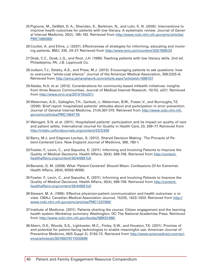- 25 Pignone, M., DeWalt, D. A., Sheridan, S., Berkman, N., and Lohr, K. N. (2005). Interventions to improve health outcomes for patients with low literacy. A systematic review. Journal of General Internal Medicine, 20(2), 185–192. Retrieved from [http://www.ncbi.nlm.nih.gov/pmc/articles/](http://www.ncbi.nlm.nih.gov/pmc/articles/PMC1490066) [PMC1490066](http://www.ncbi.nlm.nih.gov/pmc/articles/PMC1490066)/
- 26 Coulter, A. and Ellins, J. (2007). Effectiveness of strategies for informing, educating and involving patients. BMJ, 335, 24–27. Retrieved from<http://www.bmj.com/content/335/7609/24>
- 27 Doak, C.C., Doak, L.G., and Root, J.H. (1996). Teaching patients with low literacy skills. 2nd ed. Philadelphia, PA: J.B. Lippincott Co.
- 28 Judson, T.J., Detsky, A.S., and Press, M.J. (2013). Encouraging patients to ask questions: how to overcome "white-coat silence." Journal of the American Medical Association, 309:2325–6. Retrieved from <http://jama.jamanetwork.com/article.aspx?articleid=1696107>
- 29 Abebe, N.A. et al. (2013). Considerations for community-based mHealth initiatives: insights from three Beacon Communities. Journal of Medical Internet Research, 15(10), e221. Retrieved from <http://www.jmir.org/2013/10/e221>/
- 30 Waterman, A.D., Gallagher, T.H., Garbutt, J., Waterman, B.M., Fraser, V., and Burroughs, T.E. (2006). Brief report: hospitalized patients' attitudes about and participation in error prevention. Journal of General Internal Medicine, 21(4):367-370. Retrieved from [http://www.ncbi.nlm.nih.](http://www.ncbi.nlm.nih.gov/pmc/articles/PMC1484719) [gov/pmc/articles/PMC1484719](http://www.ncbi.nlm.nih.gov/pmc/articles/PMC1484719)/
- 31 Weingart, S.N. et al. (2011). Hospitalized patients' participation and its impact on quality of care and patient safety. International Journal for Quality in Health Care, 23, 269–77. Retrieved from <http://intqhc.oxfordjournals.org/content/23/3/269>
- 32 Barry, M.J. and Edgman-Levitan, S. (2012). Shared Decision Making The Pinnacle of Patient-Centered Care. New England Journal of Medicine, 366, 780-1.
- 33 Fowler, F., Levin, C., and Sepucha, K. (2011). Informing and Involving Patients to Improve the Quality of Medical Decisions. Health Affairs, 30(4), 699-706. Retrieved from [http://content.](http://content.healthaffairs.org/content/30/4/699.full) [healthaffairs.org/content/30/4/699.full](http://content.healthaffairs.org/content/30/4/699.full)
- 34 Berwick, D. M. (2009). What 'Patient-Centered' Should Mean: Confessions Of An Extremist. Health Affairs, 28(4), W555-W565.
- 35 Fowler, F., Levin, C., and Sepucha, K. (2011). Informing and Involving Patients to Improve the Quality of Medical Decisions. Health Affairs, 30(4), 699-706. Retrieved from [http://content.](http://content.healthaffairs.org/content/30/4/699.full) [healthaffairs.org/content/30/4/699.full](http://content.healthaffairs.org/content/30/4/699.full)
- 36 Stewart, M. A. (1995). Effective physician-patient communication and health outcomes: a review. CMAJ: Canadian Medical Association Journal, 152(9), 1423–1433. Retrieved from [http://](http://www.ncbi.nlm.nih.gov/pmc/articles/PMC1337906) [www.ncbi.nlm.nih.gov/pmc/articles/PMC1337906](http://www.ncbi.nlm.nih.gov/pmc/articles/PMC1337906)/
- 37 Institute of Medicine. (2011). Patients charting the course: Citizen engagement and the learning health system: Workshop summary. Washington, DC: The National Academies Press. Retrieved from <http://www.ncbi.nlm.nih.gov/books/NBK91496>/
- 38 Ahern, D.K., Woods, S.S., Lightowler, M.C., Finley, S.W., and Houston, T.K. (2011). Promise of and potential for patient-facing technologies to enable meaningful use. American Journal of Preventive Medicine, 40(5 Suppl 2), S162-72. Retrieved from [http://www.sciencedirect.com/sci](http://www.sciencedirect.com/science/article/pii/S0749379711000699)[ence/article/pii/S0749379711000699](http://www.sciencedirect.com/science/article/pii/S0749379711000699)